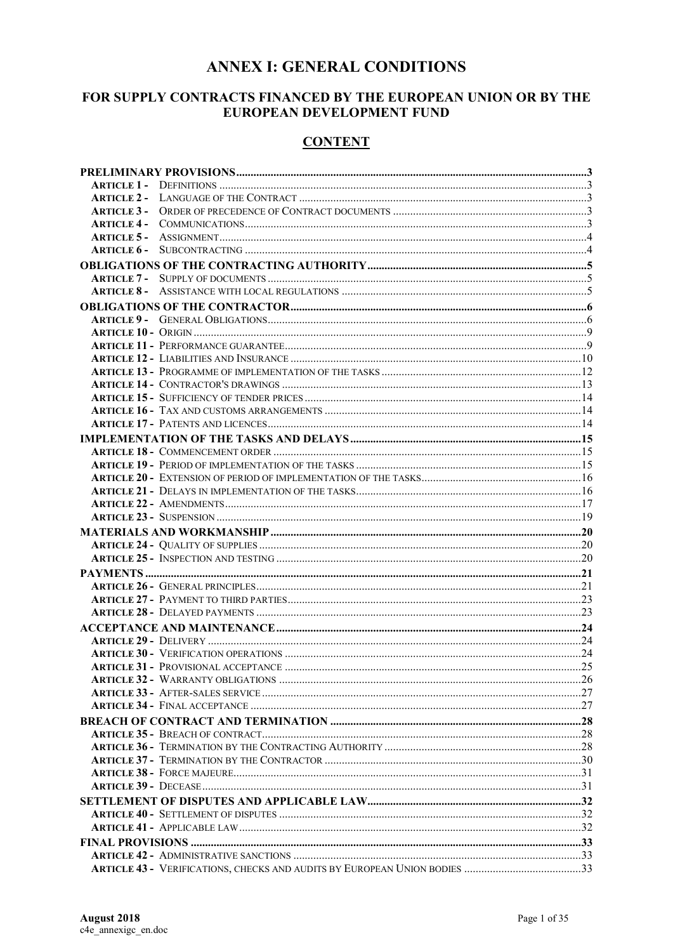## **ANNEX I: GENERAL CONDITIONS**

### FOR SUPPLY CONTRACTS FINANCED BY THE EUROPEAN UNION OR BY THE EUROPEAN DEVELOPMENT FUND

### **CONTENT**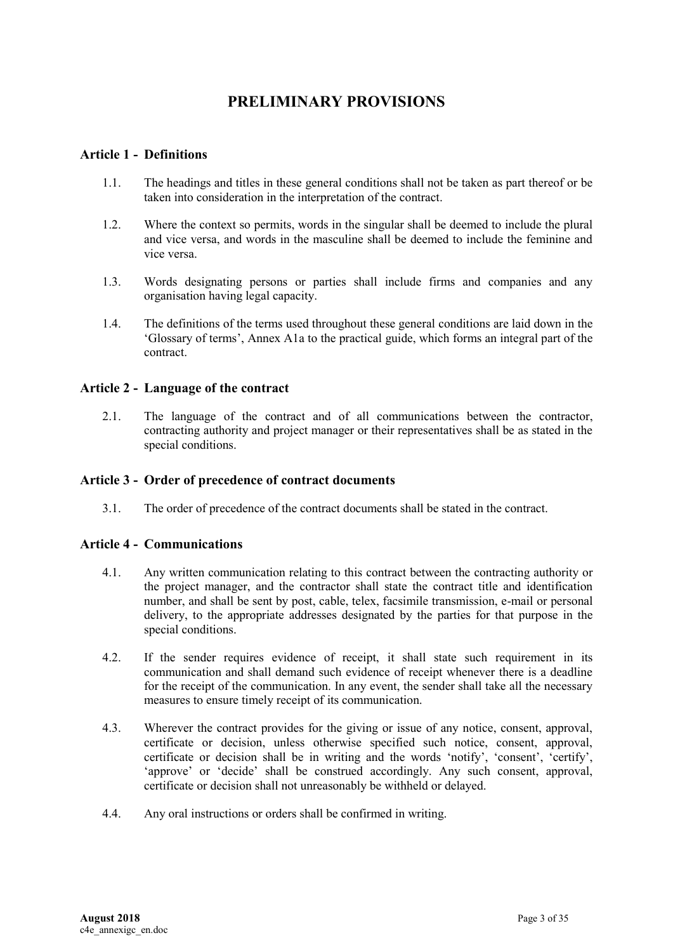# **PRELIMINARY PROVISIONS**

### <span id="page-2-1"></span><span id="page-2-0"></span>**Article 1 - Definitions**

- 1.1. The headings and titles in these general conditions shall not be taken as part thereof or be taken into consideration in the interpretation of the contract.
- 1.2. Where the context so permits, words in the singular shall be deemed to include the plural and vice versa, and words in the masculine shall be deemed to include the feminine and vice versa.
- 1.3. Words designating persons or parties shall include firms and companies and any organisation having legal capacity.
- 1.4. The definitions of the terms used throughout these general conditions are laid down in the 'Glossary of terms', Annex A1a to the practical guide, which forms an integral part of the contract.

### <span id="page-2-2"></span>**Article 2 - Language of the contract**

2.1. The language of the contract and of all communications between the contractor, contracting authority and project manager or their representatives shall be as stated in the special conditions.

### <span id="page-2-3"></span>**Article 3 - Order of precedence of contract documents**

3.1. The order of precedence of the contract documents shall be stated in the contract.

### <span id="page-2-4"></span>**Article 4 - Communications**

- 4.1. Any written communication relating to this contract between the contracting authority or the project manager, and the contractor shall state the contract title and identification number, and shall be sent by post, cable, telex, facsimile transmission, e-mail or personal delivery, to the appropriate addresses designated by the parties for that purpose in the special conditions.
- 4.2. If the sender requires evidence of receipt, it shall state such requirement in its communication and shall demand such evidence of receipt whenever there is a deadline for the receipt of the communication. In any event, the sender shall take all the necessary measures to ensure timely receipt of its communication.
- 4.3. Wherever the contract provides for the giving or issue of any notice, consent, approval, certificate or decision, unless otherwise specified such notice, consent, approval, certificate or decision shall be in writing and the words 'notify', 'consent', 'certify', 'approve' or 'decide' shall be construed accordingly. Any such consent, approval, certificate or decision shall not unreasonably be withheld or delayed.
- 4.4. Any oral instructions or orders shall be confirmed in writing.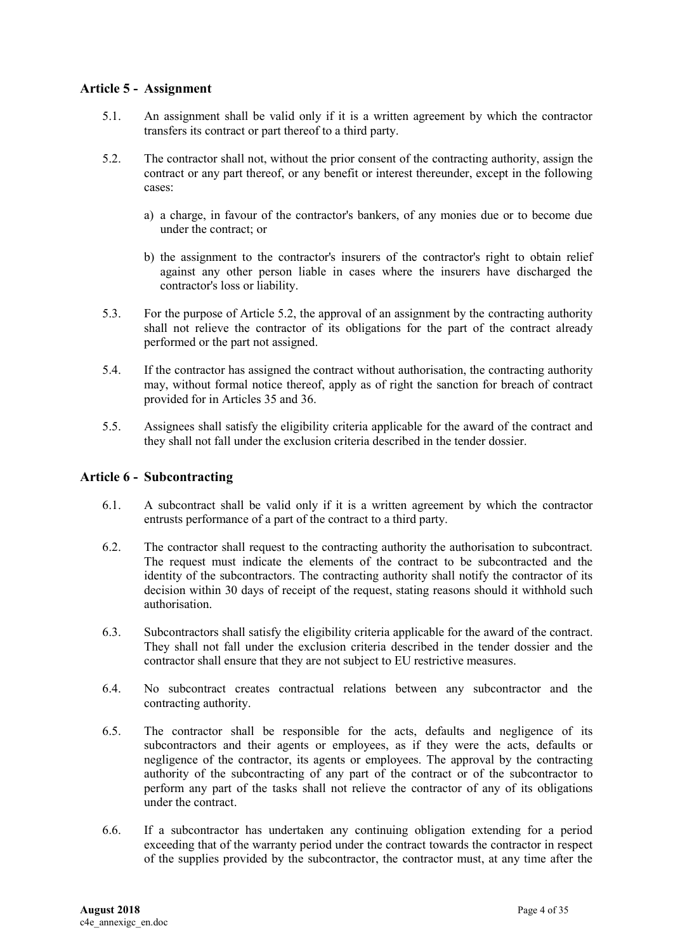### <span id="page-3-0"></span>**Article 5 - Assignment**

- 5.1. An assignment shall be valid only if it is a written agreement by which the contractor transfers its contract or part thereof to a third party.
- 5.2. The contractor shall not, without the prior consent of the contracting authority, assign the contract or any part thereof, or any benefit or interest thereunder, except in the following cases:
	- a) a charge, in favour of the contractor's bankers, of any monies due or to become due under the contract; or
	- b) the assignment to the contractor's insurers of the contractor's right to obtain relief against any other person liable in cases where the insurers have discharged the contractor's loss or liability.
- 5.3. For the purpose of Article 5.2, the approval of an assignment by the contracting authority shall not relieve the contractor of its obligations for the part of the contract already performed or the part not assigned.
- 5.4. If the contractor has assigned the contract without authorisation, the contracting authority may, without formal notice thereof, apply as of right the sanction for breach of contract provided for in Articles 35 and 36.
- 5.5. Assignees shall satisfy the eligibility criteria applicable for the award of the contract and they shall not fall under the exclusion criteria described in the tender dossier.

### <span id="page-3-1"></span>**Article 6 - Subcontracting**

- 6.1. A subcontract shall be valid only if it is a written agreement by which the contractor entrusts performance of a part of the contract to a third party.
- 6.2. The contractor shall request to the contracting authority the authorisation to subcontract. The request must indicate the elements of the contract to be subcontracted and the identity of the subcontractors. The contracting authority shall notify the contractor of its decision within 30 days of receipt of the request, stating reasons should it withhold such authorisation.
- 6.3. Subcontractors shall satisfy the eligibility criteria applicable for the award of the contract. They shall not fall under the exclusion criteria described in the tender dossier and the contractor shall ensure that they are not subject to EU restrictive measures.
- 6.4. No subcontract creates contractual relations between any subcontractor and the contracting authority.
- 6.5. The contractor shall be responsible for the acts, defaults and negligence of its subcontractors and their agents or employees, as if they were the acts, defaults or negligence of the contractor, its agents or employees. The approval by the contracting authority of the subcontracting of any part of the contract or of the subcontractor to perform any part of the tasks shall not relieve the contractor of any of its obligations under the contract.
- 6.6. If a subcontractor has undertaken any continuing obligation extending for a period exceeding that of the warranty period under the contract towards the contractor in respect of the supplies provided by the subcontractor, the contractor must, at any time after the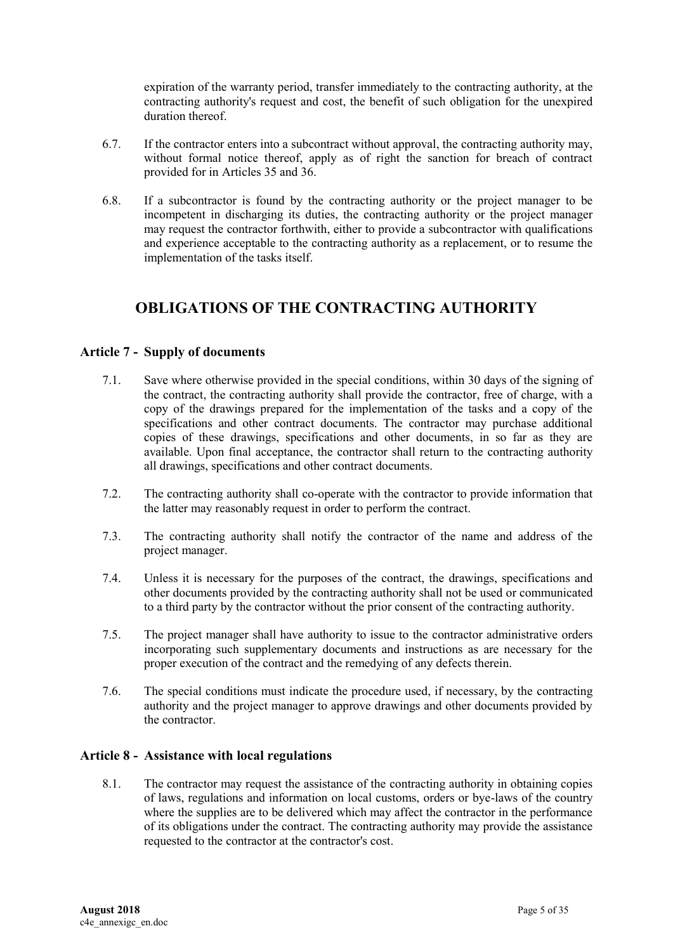expiration of the warranty period, transfer immediately to the contracting authority, at the contracting authority's request and cost, the benefit of such obligation for the unexpired duration thereof.

- 6.7. If the contractor enters into a subcontract without approval, the contracting authority may, without formal notice thereof, apply as of right the sanction for breach of contract provided for in Articles 35 and 36.
- 6.8. If a subcontractor is found by the contracting authority or the project manager to be incompetent in discharging its duties, the contracting authority or the project manager may request the contractor forthwith, either to provide a subcontractor with qualifications and experience acceptable to the contracting authority as a replacement, or to resume the implementation of the tasks itself.

# <span id="page-4-0"></span>**OBLIGATIONS OF THE CONTRACTING AUTHORITY**

### <span id="page-4-1"></span>**Article 7 - Supply of documents**

- 7.1. Save where otherwise provided in the special conditions, within 30 days of the signing of the contract, the contracting authority shall provide the contractor, free of charge, with a copy of the drawings prepared for the implementation of the tasks and a copy of the specifications and other contract documents. The contractor may purchase additional copies of these drawings, specifications and other documents, in so far as they are available. Upon final acceptance, the contractor shall return to the contracting authority all drawings, specifications and other contract documents.
- 7.2. The contracting authority shall co-operate with the contractor to provide information that the latter may reasonably request in order to perform the contract.
- 7.3. The contracting authority shall notify the contractor of the name and address of the project manager.
- 7.4. Unless it is necessary for the purposes of the contract, the drawings, specifications and other documents provided by the contracting authority shall not be used or communicated to a third party by the contractor without the prior consent of the contracting authority.
- 7.5. The project manager shall have authority to issue to the contractor administrative orders incorporating such supplementary documents and instructions as are necessary for the proper execution of the contract and the remedying of any defects therein.
- 7.6. The special conditions must indicate the procedure used, if necessary, by the contracting authority and the project manager to approve drawings and other documents provided by the contractor.

### <span id="page-4-2"></span>**Article 8 - Assistance with local regulations**

8.1. The contractor may request the assistance of the contracting authority in obtaining copies of laws, regulations and information on local customs, orders or bye-laws of the country where the supplies are to be delivered which may affect the contractor in the performance of its obligations under the contract. The contracting authority may provide the assistance requested to the contractor at the contractor's cost.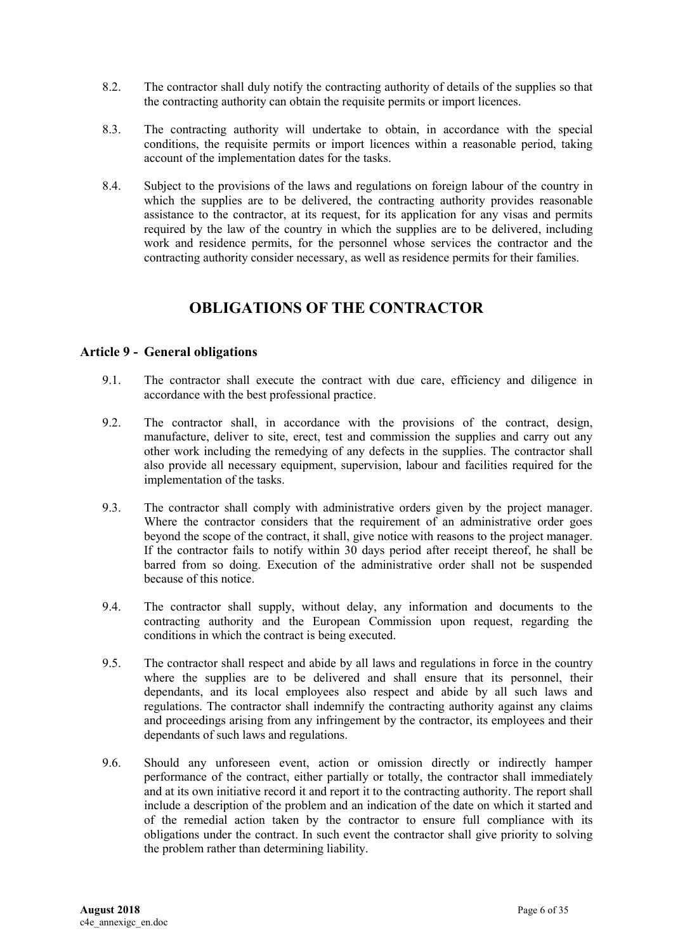- 8.2. The contractor shall duly notify the contracting authority of details of the supplies so that the contracting authority can obtain the requisite permits or import licences.
- 8.3. The contracting authority will undertake to obtain, in accordance with the special conditions, the requisite permits or import licences within a reasonable period, taking account of the implementation dates for the tasks.
- 8.4. Subject to the provisions of the laws and regulations on foreign labour of the country in which the supplies are to be delivered, the contracting authority provides reasonable assistance to the contractor, at its request, for its application for any visas and permits required by the law of the country in which the supplies are to be delivered, including work and residence permits, for the personnel whose services the contractor and the contracting authority consider necessary, as well as residence permits for their families.

# **OBLIGATIONS OF THE CONTRACTOR**

### <span id="page-5-1"></span><span id="page-5-0"></span>**Article 9 - General obligations**

- 9.1. The contractor shall execute the contract with due care, efficiency and diligence in accordance with the best professional practice.
- 9.2. The contractor shall, in accordance with the provisions of the contract, design, manufacture, deliver to site, erect, test and commission the supplies and carry out any other work including the remedying of any defects in the supplies. The contractor shall also provide all necessary equipment, supervision, labour and facilities required for the implementation of the tasks.
- 9.3. The contractor shall comply with administrative orders given by the project manager. Where the contractor considers that the requirement of an administrative order goes beyond the scope of the contract, it shall, give notice with reasons to the project manager. If the contractor fails to notify within 30 days period after receipt thereof, he shall be barred from so doing. Execution of the administrative order shall not be suspended because of this notice.
- 9.4. The contractor shall supply, without delay, any information and documents to the contracting authority and the European Commission upon request, regarding the conditions in which the contract is being executed.
- 9.5. The contractor shall respect and abide by all laws and regulations in force in the country where the supplies are to be delivered and shall ensure that its personnel, their dependants, and its local employees also respect and abide by all such laws and regulations. The contractor shall indemnify the contracting authority against any claims and proceedings arising from any infringement by the contractor, its employees and their dependants of such laws and regulations.
- 9.6. Should any unforeseen event, action or omission directly or indirectly hamper performance of the contract, either partially or totally, the contractor shall immediately and at its own initiative record it and report it to the contracting authority. The report shall include a description of the problem and an indication of the date on which it started and of the remedial action taken by the contractor to ensure full compliance with its obligations under the contract. In such event the contractor shall give priority to solving the problem rather than determining liability.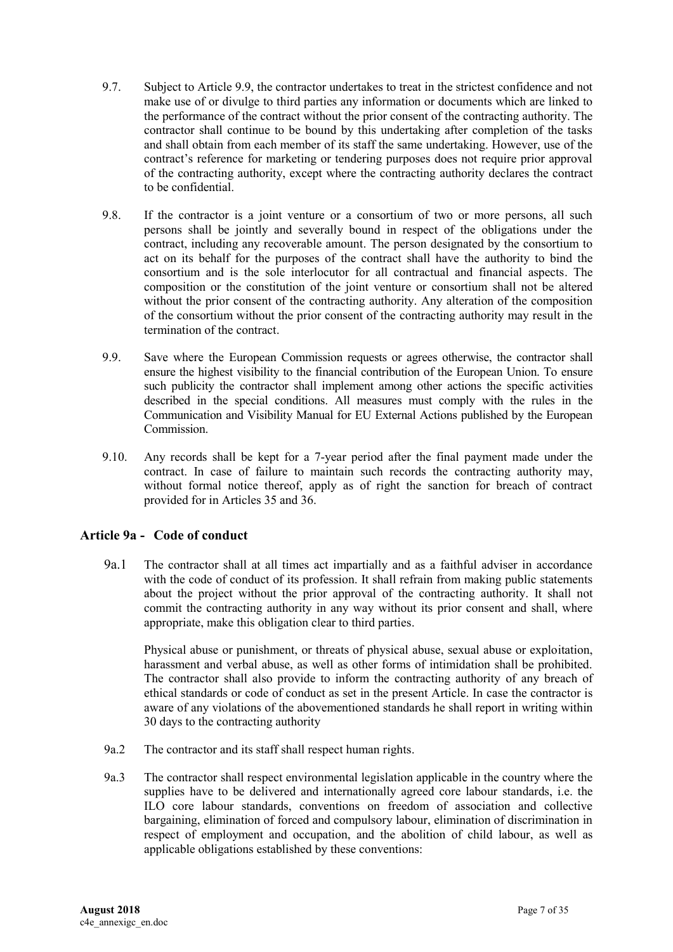- 9.7. Subject to Article 9.9, the contractor undertakes to treat in the strictest confidence and not make use of or divulge to third parties any information or documents which are linked to the performance of the contract without the prior consent of the contracting authority. The contractor shall continue to be bound by this undertaking after completion of the tasks and shall obtain from each member of its staff the same undertaking. However, use of the contract's reference for marketing or tendering purposes does not require prior approval of the contracting authority, except where the contracting authority declares the contract to be confidential.
- 9.8. If the contractor is a joint venture or a consortium of two or more persons, all such persons shall be jointly and severally bound in respect of the obligations under the contract, including any recoverable amount. The person designated by the consortium to act on its behalf for the purposes of the contract shall have the authority to bind the consortium and is the sole interlocutor for all contractual and financial aspects. The composition or the constitution of the joint venture or consortium shall not be altered without the prior consent of the contracting authority. Any alteration of the composition of the consortium without the prior consent of the contracting authority may result in the termination of the contract.
- 9.9. Save where the European Commission requests or agrees otherwise, the contractor shall ensure the highest visibility to the financial contribution of the European Union. To ensure such publicity the contractor shall implement among other actions the specific activities described in the special conditions. All measures must comply with the rules in the Communication and Visibility Manual for EU External Actions published by the European Commission.
- 9.10. Any records shall be kept for a 7-year period after the final payment made under the contract. In case of failure to maintain such records the contracting authority may, without formal notice thereof, apply as of right the sanction for breach of contract provided for in Articles 35 and 36.

### **Article 9a - Code of conduct**

9a.1 The contractor shall at all times act impartially and as a faithful adviser in accordance with the code of conduct of its profession. It shall refrain from making public statements about the project without the prior approval of the contracting authority. It shall not commit the contracting authority in any way without its prior consent and shall, where appropriate, make this obligation clear to third parties.

Physical abuse or punishment, or threats of physical abuse, sexual abuse or exploitation, harassment and verbal abuse, as well as other forms of intimidation shall be prohibited. The contractor shall also provide to inform the contracting authority of any breach of ethical standards or code of conduct as set in the present Article. In case the contractor is aware of any violations of the abovementioned standards he shall report in writing within 30 days to the contracting authority

- 9a.2 The contractor and its staff shall respect human rights.
- 9a.3 The contractor shall respect environmental legislation applicable in the country where the supplies have to be delivered and internationally agreed core labour standards, i.e. the ILO core labour standards, conventions on freedom of association and collective bargaining, elimination of forced and compulsory labour, elimination of discrimination in respect of employment and occupation, and the abolition of child labour, as well as applicable obligations established by these conventions: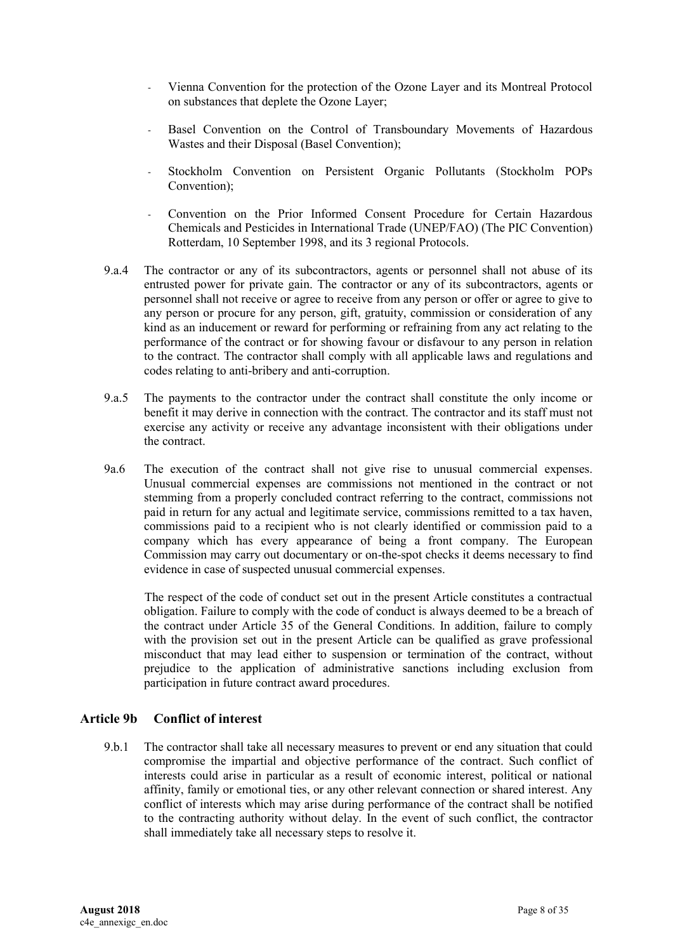- Vienna Convention for the protection of the Ozone Layer and its Montreal Protocol on substances that deplete the Ozone Layer;
- Basel Convention on the Control of Transboundary Movements of Hazardous Wastes and their Disposal (Basel Convention);
- Stockholm Convention on Persistent Organic Pollutants (Stockholm POPs Convention);
- Convention on the Prior Informed Consent Procedure for Certain Hazardous Chemicals and Pesticides in International Trade (UNEP/FAO) (The PIC Convention) Rotterdam, 10 September 1998, and its 3 regional Protocols.
- 9.a.4 The contractor or any of its subcontractors, agents or personnel shall not abuse of its entrusted power for private gain. The contractor or any of its subcontractors, agents or personnel shall not receive or agree to receive from any person or offer or agree to give to any person or procure for any person, gift, gratuity, commission or consideration of any kind as an inducement or reward for performing or refraining from any act relating to the performance of the contract or for showing favour or disfavour to any person in relation to the contract. The contractor shall comply with all applicable laws and regulations and codes relating to anti-bribery and anti-corruption.
- 9.a.5 The payments to the contractor under the contract shall constitute the only income or benefit it may derive in connection with the contract. The contractor and its staff must not exercise any activity or receive any advantage inconsistent with their obligations under the contract.
- 9a.6 The execution of the contract shall not give rise to unusual commercial expenses. Unusual commercial expenses are commissions not mentioned in the contract or not stemming from a properly concluded contract referring to the contract, commissions not paid in return for any actual and legitimate service, commissions remitted to a tax haven, commissions paid to a recipient who is not clearly identified or commission paid to a company which has every appearance of being a front company. The European Commission may carry out documentary or on-the-spot checks it deems necessary to find evidence in case of suspected unusual commercial expenses.

 The respect of the code of conduct set out in the present Article constitutes a contractual obligation. Failure to comply with the code of conduct is always deemed to be a breach of the contract under Article 35 of the General Conditions. In addition, failure to comply with the provision set out in the present Article can be qualified as grave professional misconduct that may lead either to suspension or termination of the contract, without prejudice to the application of administrative sanctions including exclusion from participation in future contract award procedures.

### **Article 9b Conflict of interest**

9.b.1 The contractor shall take all necessary measures to prevent or end any situation that could compromise the impartial and objective performance of the contract. Such conflict of interests could arise in particular as a result of economic interest, political or national affinity, family or emotional ties, or any other relevant connection or shared interest. Any conflict of interests which may arise during performance of the contract shall be notified to the contracting authority without delay. In the event of such conflict, the contractor shall immediately take all necessary steps to resolve it.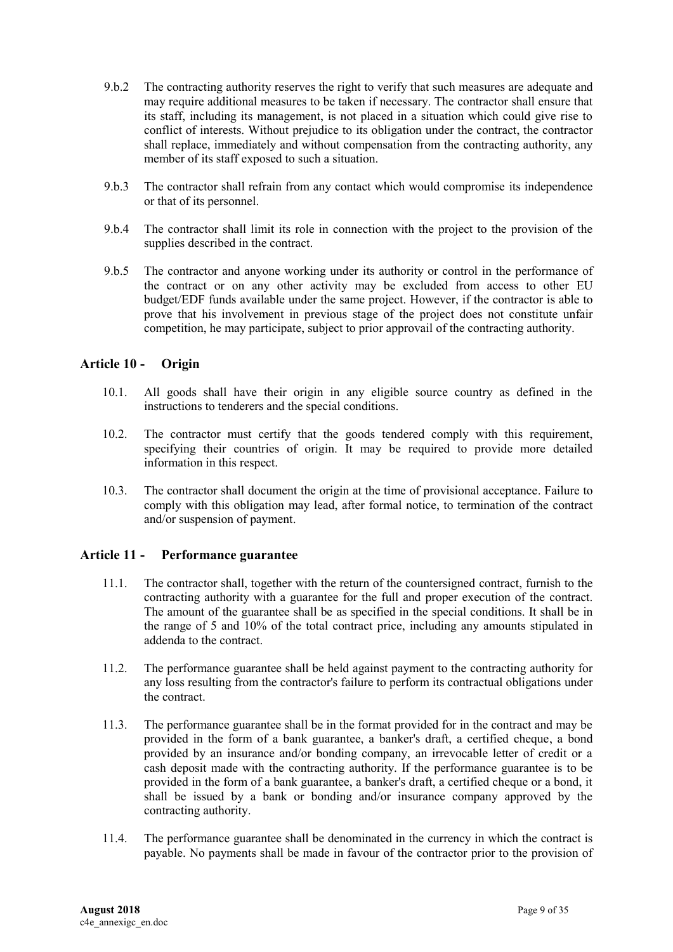- 9.b.2 The contracting authority reserves the right to verify that such measures are adequate and may require additional measures to be taken if necessary. The contractor shall ensure that its staff, including its management, is not placed in a situation which could give rise to conflict of interests. Without prejudice to its obligation under the contract, the contractor shall replace, immediately and without compensation from the contracting authority, any member of its staff exposed to such a situation.
- 9.b.3 The contractor shall refrain from any contact which would compromise its independence or that of its personnel.
- 9.b.4 The contractor shall limit its role in connection with the project to the provision of the supplies described in the contract.
- 9.b.5 The contractor and anyone working under its authority or control in the performance of the contract or on any other activity may be excluded from access to other EU budget/EDF funds available under the same project. However, if the contractor is able to prove that his involvement in previous stage of the project does not constitute unfair competition, he may participate, subject to prior approvail of the contracting authority.

### <span id="page-8-0"></span>**Article 10 - Origin**

- 10.1. All goods shall have their origin in any eligible source country as defined in the instructions to tenderers and the special conditions.
- 10.2. The contractor must certify that the goods tendered comply with this requirement, specifying their countries of origin. It may be required to provide more detailed information in this respect.
- 10.3. The contractor shall document the origin at the time of provisional acceptance. Failure to comply with this obligation may lead, after formal notice, to termination of the contract and/or suspension of payment.

#### <span id="page-8-1"></span>**Article 11 - Performance guarantee**

- 11.1. The contractor shall, together with the return of the countersigned contract, furnish to the contracting authority with a guarantee for the full and proper execution of the contract. The amount of the guarantee shall be as specified in the special conditions. It shall be in the range of 5 and 10% of the total contract price, including any amounts stipulated in addenda to the contract.
- 11.2. The performance guarantee shall be held against payment to the contracting authority for any loss resulting from the contractor's failure to perform its contractual obligations under the contract.
- 11.3. The performance guarantee shall be in the format provided for in the contract and may be provided in the form of a bank guarantee, a banker's draft, a certified cheque, a bond provided by an insurance and/or bonding company, an irrevocable letter of credit or a cash deposit made with the contracting authority. If the performance guarantee is to be provided in the form of a bank guarantee, a banker's draft, a certified cheque or a bond, it shall be issued by a bank or bonding and/or insurance company approved by the contracting authority.
- 11.4. The performance guarantee shall be denominated in the currency in which the contract is payable. No payments shall be made in favour of the contractor prior to the provision of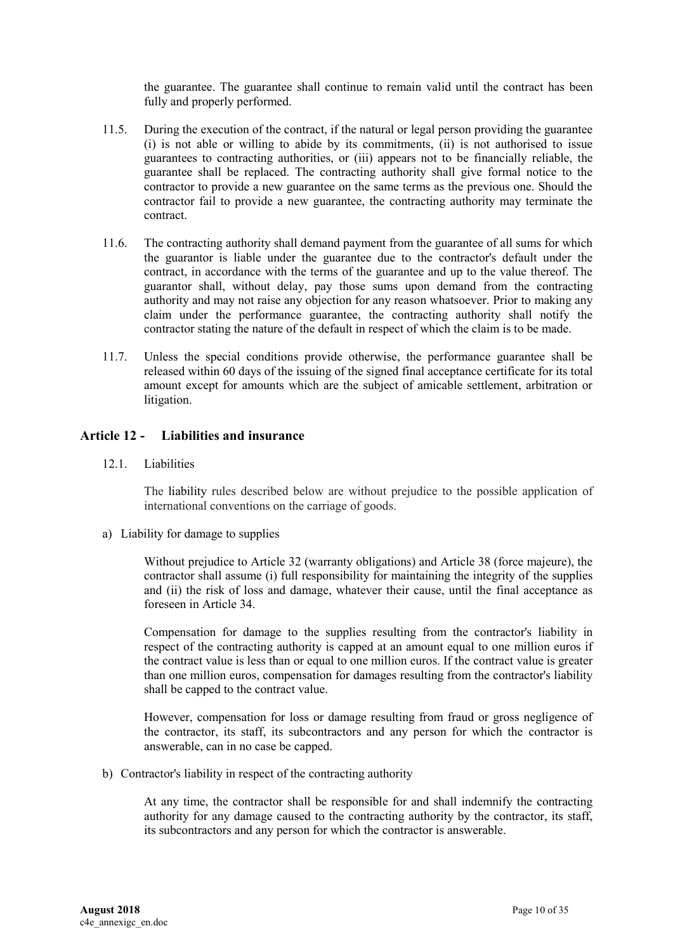the guarantee. The guarantee shall continue to remain valid until the contract has been fully and properly performed.

- 11.5. During the execution of the contract, if the natural or legal person providing the guarantee (i) is not able or willing to abide by its commitments, (ii) is not authorised to issue guarantees to contracting authorities, or (iii) appears not to be financially reliable, the guarantee shall be replaced. The contracting authority shall give formal notice to the contractor to provide a new guarantee on the same terms as the previous one. Should the contractor fail to provide a new guarantee, the contracting authority may terminate the contract.
- 11.6. The contracting authority shall demand payment from the guarantee of all sums for which the guarantor is liable under the guarantee due to the contractor's default under the contract, in accordance with the terms of the guarantee and up to the value thereof. The guarantor shall, without delay, pay those sums upon demand from the contracting authority and may not raise any objection for any reason whatsoever. Prior to making any claim under the performance guarantee, the contracting authority shall notify the contractor stating the nature of the default in respect of which the claim is to be made.
- 11.7. Unless the special conditions provide otherwise, the performance guarantee shall be released within 60 days of the issuing of the signed final acceptance certificate for its total amount except for amounts which are the subject of amicable settlement, arbitration or litigation.

### <span id="page-9-0"></span>**Article 12 - Liabilities and insurance**

12.1. Liabilities

The liability rules described below are without prejudice to the possible application of international conventions on the carriage of goods.

a) Liability for damage to supplies

Without prejudice to Article 32 (warranty obligations) and Article 38 (force majeure), the contractor shall assume (i) full responsibility for maintaining the integrity of the supplies and (ii) the risk of loss and damage, whatever their cause, until the final acceptance as foreseen in Article 34.

Compensation for damage to the supplies resulting from the contractor's liability in respect of the contracting authority is capped at an amount equal to one million euros if the contract value is less than or equal to one million euros. If the contract value is greater than one million euros, compensation for damages resulting from the contractor's liability shall be capped to the contract value.

However, compensation for loss or damage resulting from fraud or gross negligence of the contractor, its staff, its subcontractors and any person for which the contractor is answerable, can in no case be capped.

b) Contractor's liability in respect of the contracting authority

At any time, the contractor shall be responsible for and shall indemnify the contracting authority for any damage caused to the contracting authority by the contractor, its staff, its subcontractors and any person for which the contractor is answerable.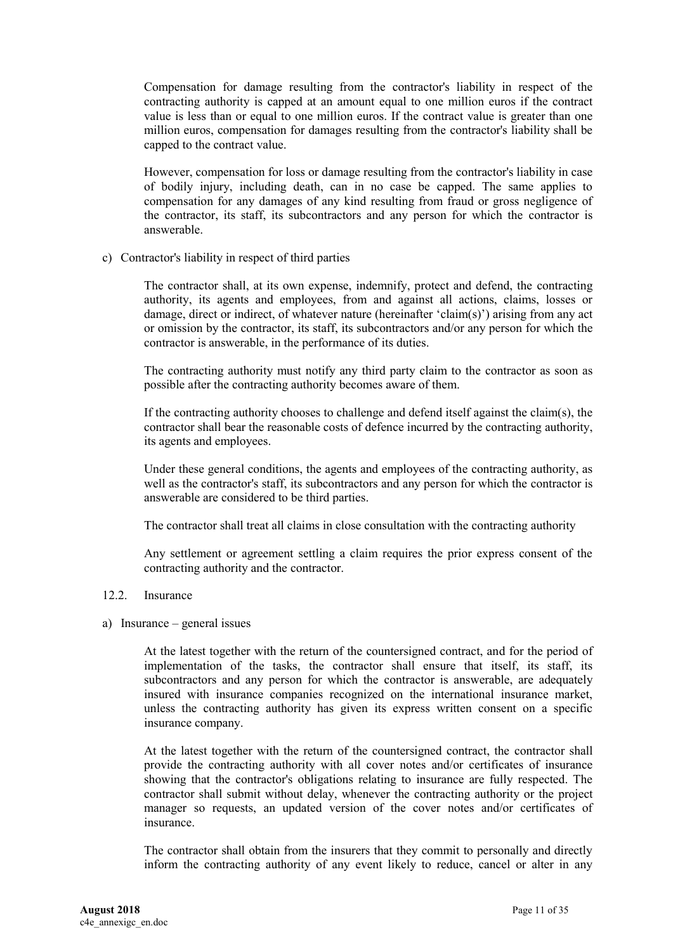Compensation for damage resulting from the contractor's liability in respect of the contracting authority is capped at an amount equal to one million euros if the contract value is less than or equal to one million euros. If the contract value is greater than one million euros, compensation for damages resulting from the contractor's liability shall be capped to the contract value.

However, compensation for loss or damage resulting from the contractor's liability in case of bodily injury, including death, can in no case be capped. The same applies to compensation for any damages of any kind resulting from fraud or gross negligence of the contractor, its staff, its subcontractors and any person for which the contractor is answerable.

c) Contractor's liability in respect of third parties

The contractor shall, at its own expense, indemnify, protect and defend, the contracting authority, its agents and employees, from and against all actions, claims, losses or damage, direct or indirect, of whatever nature (hereinafter 'claim(s)') arising from any act or omission by the contractor, its staff, its subcontractors and/or any person for which the contractor is answerable, in the performance of its duties.

The contracting authority must notify any third party claim to the contractor as soon as possible after the contracting authority becomes aware of them.

If the contracting authority chooses to challenge and defend itself against the claim(s), the contractor shall bear the reasonable costs of defence incurred by the contracting authority, its agents and employees.

Under these general conditions, the agents and employees of the contracting authority, as well as the contractor's staff, its subcontractors and any person for which the contractor is answerable are considered to be third parties.

The contractor shall treat all claims in close consultation with the contracting authority

Any settlement or agreement settling a claim requires the prior express consent of the contracting authority and the contractor.

- 12.2. Insurance
- a) Insurance general issues

At the latest together with the return of the countersigned contract, and for the period of implementation of the tasks, the contractor shall ensure that itself, its staff, its subcontractors and any person for which the contractor is answerable, are adequately insured with insurance companies recognized on the international insurance market, unless the contracting authority has given its express written consent on a specific insurance company.

At the latest together with the return of the countersigned contract, the contractor shall provide the contracting authority with all cover notes and/or certificates of insurance showing that the contractor's obligations relating to insurance are fully respected. The contractor shall submit without delay, whenever the contracting authority or the project manager so requests, an updated version of the cover notes and/or certificates of insurance.

The contractor shall obtain from the insurers that they commit to personally and directly inform the contracting authority of any event likely to reduce, cancel or alter in any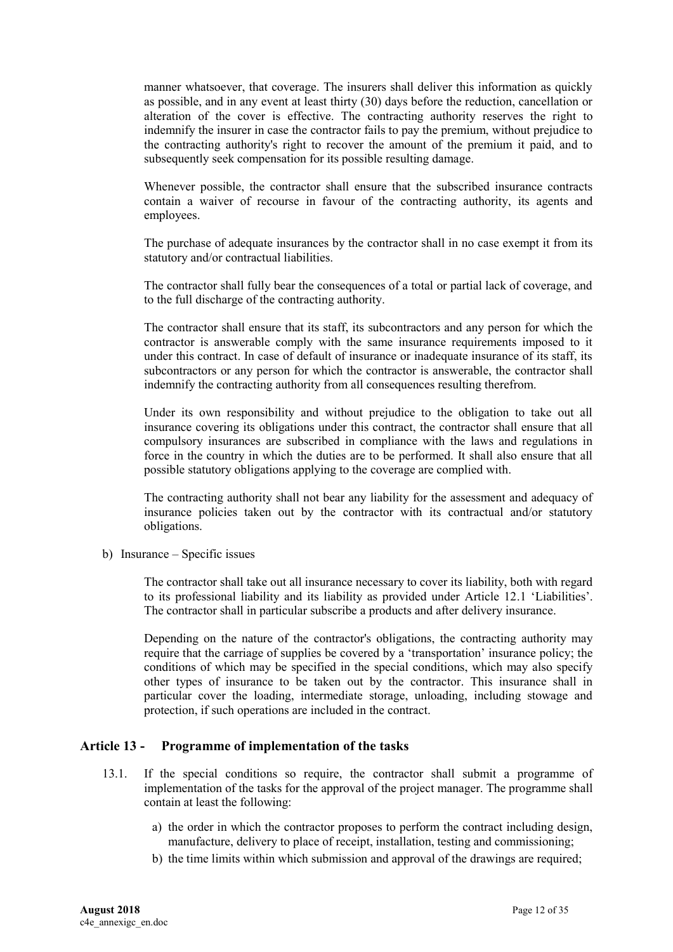manner whatsoever, that coverage. The insurers shall deliver this information as quickly as possible, and in any event at least thirty (30) days before the reduction, cancellation or alteration of the cover is effective. The contracting authority reserves the right to indemnify the insurer in case the contractor fails to pay the premium, without prejudice to the contracting authority's right to recover the amount of the premium it paid, and to subsequently seek compensation for its possible resulting damage.

Whenever possible, the contractor shall ensure that the subscribed insurance contracts contain a waiver of recourse in favour of the contracting authority, its agents and employees.

The purchase of adequate insurances by the contractor shall in no case exempt it from its statutory and/or contractual liabilities.

The contractor shall fully bear the consequences of a total or partial lack of coverage, and to the full discharge of the contracting authority.

The contractor shall ensure that its staff, its subcontractors and any person for which the contractor is answerable comply with the same insurance requirements imposed to it under this contract. In case of default of insurance or inadequate insurance of its staff, its subcontractors or any person for which the contractor is answerable, the contractor shall indemnify the contracting authority from all consequences resulting therefrom.

Under its own responsibility and without prejudice to the obligation to take out all insurance covering its obligations under this contract, the contractor shall ensure that all compulsory insurances are subscribed in compliance with the laws and regulations in force in the country in which the duties are to be performed. It shall also ensure that all possible statutory obligations applying to the coverage are complied with.

The contracting authority shall not bear any liability for the assessment and adequacy of insurance policies taken out by the contractor with its contractual and/or statutory obligations.

b) Insurance – Specific issues

The contractor shall take out all insurance necessary to cover its liability, both with regard to its professional liability and its liability as provided under Article 12.1 'Liabilities'. The contractor shall in particular subscribe a products and after delivery insurance.

Depending on the nature of the contractor's obligations, the contracting authority may require that the carriage of supplies be covered by a 'transportation' insurance policy; the conditions of which may be specified in the special conditions, which may also specify other types of insurance to be taken out by the contractor. This insurance shall in particular cover the loading, intermediate storage, unloading, including stowage and protection, if such operations are included in the contract.

### <span id="page-11-0"></span>**Article 13 - Programme of implementation of the tasks**

- 13.1. If the special conditions so require, the contractor shall submit a programme of implementation of the tasks for the approval of the project manager. The programme shall contain at least the following:
	- a) the order in which the contractor proposes to perform the contract including design, manufacture, delivery to place of receipt, installation, testing and commissioning;
	- b) the time limits within which submission and approval of the drawings are required;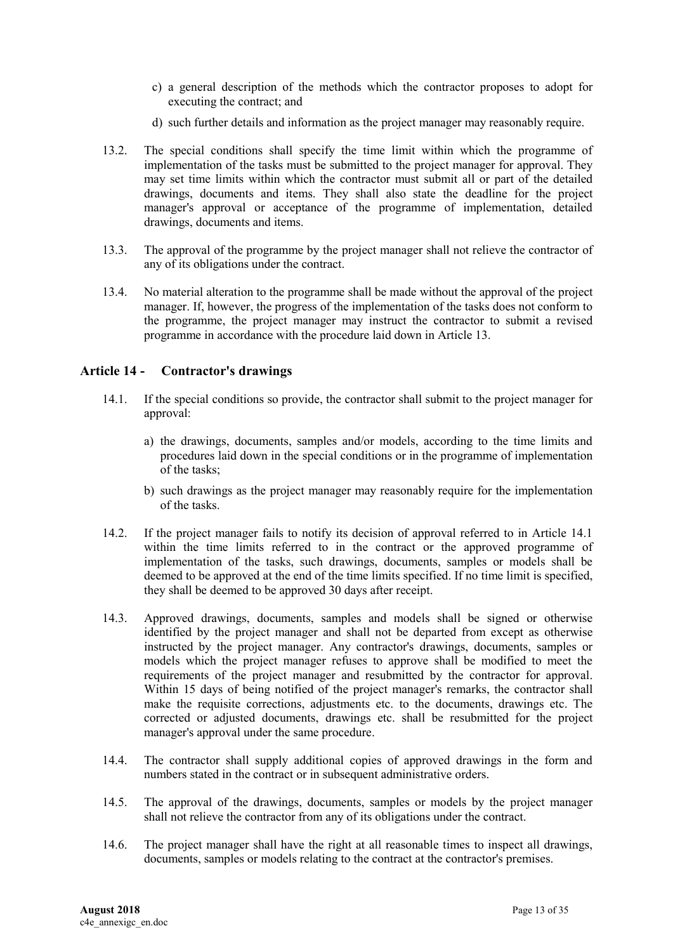- c) a general description of the methods which the contractor proposes to adopt for executing the contract; and
- d) such further details and information as the project manager may reasonably require.
- 13.2. The special conditions shall specify the time limit within which the programme of implementation of the tasks must be submitted to the project manager for approval. They may set time limits within which the contractor must submit all or part of the detailed drawings, documents and items. They shall also state the deadline for the project manager's approval or acceptance of the programme of implementation, detailed drawings, documents and items.
- 13.3. The approval of the programme by the project manager shall not relieve the contractor of any of its obligations under the contract.
- 13.4. No material alteration to the programme shall be made without the approval of the project manager. If, however, the progress of the implementation of the tasks does not conform to the programme, the project manager may instruct the contractor to submit a revised programme in accordance with the procedure laid down in Article 13.

### <span id="page-12-0"></span>**Article 14 - Contractor's drawings**

- 14.1. If the special conditions so provide, the contractor shall submit to the project manager for approval:
	- a) the drawings, documents, samples and/or models, according to the time limits and procedures laid down in the special conditions or in the programme of implementation of the tasks;
	- b) such drawings as the project manager may reasonably require for the implementation of the tasks.
- 14.2. If the project manager fails to notify its decision of approval referred to in Article 14.1 within the time limits referred to in the contract or the approved programme of implementation of the tasks, such drawings, documents, samples or models shall be deemed to be approved at the end of the time limits specified. If no time limit is specified, they shall be deemed to be approved 30 days after receipt.
- 14.3. Approved drawings, documents, samples and models shall be signed or otherwise identified by the project manager and shall not be departed from except as otherwise instructed by the project manager. Any contractor's drawings, documents, samples or models which the project manager refuses to approve shall be modified to meet the requirements of the project manager and resubmitted by the contractor for approval. Within 15 days of being notified of the project manager's remarks, the contractor shall make the requisite corrections, adjustments etc. to the documents, drawings etc. The corrected or adjusted documents, drawings etc. shall be resubmitted for the project manager's approval under the same procedure.
- 14.4. The contractor shall supply additional copies of approved drawings in the form and numbers stated in the contract or in subsequent administrative orders.
- 14.5. The approval of the drawings, documents, samples or models by the project manager shall not relieve the contractor from any of its obligations under the contract.
- 14.6. The project manager shall have the right at all reasonable times to inspect all drawings, documents, samples or models relating to the contract at the contractor's premises.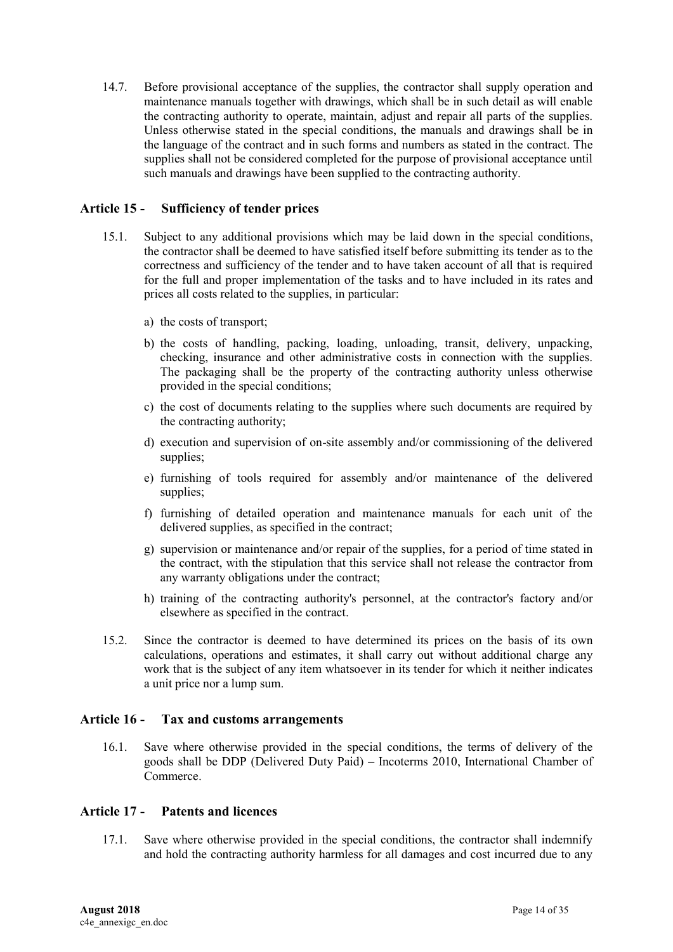14.7. Before provisional acceptance of the supplies, the contractor shall supply operation and maintenance manuals together with drawings, which shall be in such detail as will enable the contracting authority to operate, maintain, adjust and repair all parts of the supplies. Unless otherwise stated in the special conditions, the manuals and drawings shall be in the language of the contract and in such forms and numbers as stated in the contract. The supplies shall not be considered completed for the purpose of provisional acceptance until such manuals and drawings have been supplied to the contracting authority.

### <span id="page-13-0"></span>**Article 15 - Sufficiency of tender prices**

- 15.1. Subject to any additional provisions which may be laid down in the special conditions, the contractor shall be deemed to have satisfied itself before submitting its tender as to the correctness and sufficiency of the tender and to have taken account of all that is required for the full and proper implementation of the tasks and to have included in its rates and prices all costs related to the supplies, in particular:
	- a) the costs of transport;
	- b) the costs of handling, packing, loading, unloading, transit, delivery, unpacking, checking, insurance and other administrative costs in connection with the supplies. The packaging shall be the property of the contracting authority unless otherwise provided in the special conditions;
	- c) the cost of documents relating to the supplies where such documents are required by the contracting authority;
	- d) execution and supervision of on-site assembly and/or commissioning of the delivered supplies;
	- e) furnishing of tools required for assembly and/or maintenance of the delivered supplies;
	- f) furnishing of detailed operation and maintenance manuals for each unit of the delivered supplies, as specified in the contract;
	- g) supervision or maintenance and/or repair of the supplies, for a period of time stated in the contract, with the stipulation that this service shall not release the contractor from any warranty obligations under the contract;
	- h) training of the contracting authority's personnel, at the contractor's factory and/or elsewhere as specified in the contract.
- 15.2. Since the contractor is deemed to have determined its prices on the basis of its own calculations, operations and estimates, it shall carry out without additional charge any work that is the subject of any item whatsoever in its tender for which it neither indicates a unit price nor a lump sum.

### <span id="page-13-1"></span>**Article 16 - Tax and customs arrangements**

16.1. Save where otherwise provided in the special conditions, the terms of delivery of the goods shall be DDP (Delivered Duty Paid) – Incoterms 2010, International Chamber of Commerce.

### <span id="page-13-2"></span>**Article 17 - Patents and licences**

17.1. Save where otherwise provided in the special conditions, the contractor shall indemnify and hold the contracting authority harmless for all damages and cost incurred due to any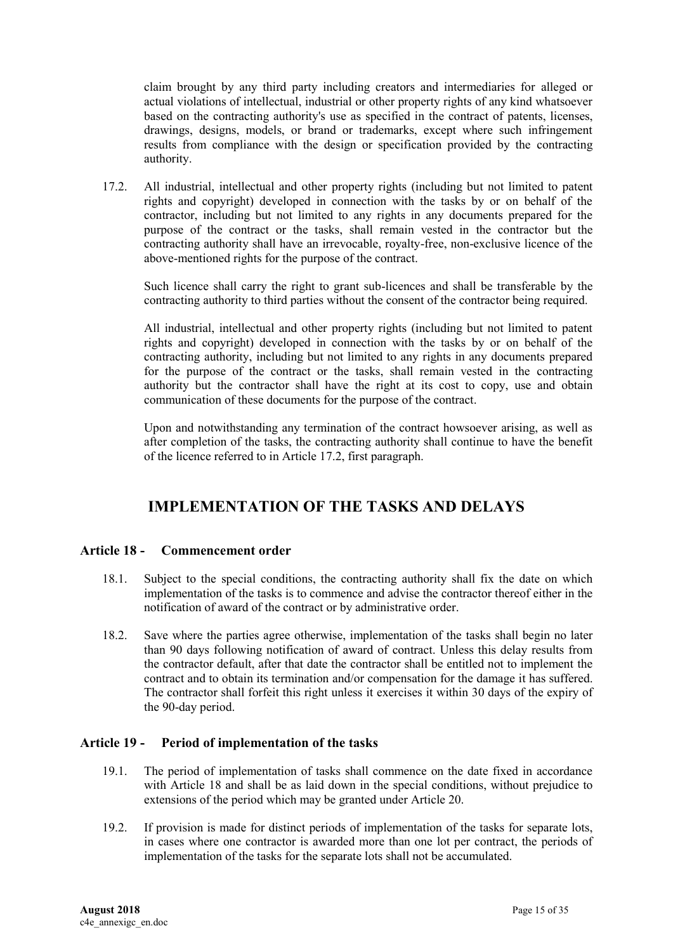claim brought by any third party including creators and intermediaries for alleged or actual violations of intellectual, industrial or other property rights of any kind whatsoever based on the contracting authority's use as specified in the contract of patents, licenses, drawings, designs, models, or brand or trademarks, except where such infringement results from compliance with the design or specification provided by the contracting authority.

17.2. All industrial, intellectual and other property rights (including but not limited to patent rights and copyright) developed in connection with the tasks by or on behalf of the contractor, including but not limited to any rights in any documents prepared for the purpose of the contract or the tasks, shall remain vested in the contractor but the contracting authority shall have an irrevocable, royalty-free, non-exclusive licence of the above-mentioned rights for the purpose of the contract.

Such licence shall carry the right to grant sub-licences and shall be transferable by the contracting authority to third parties without the consent of the contractor being required.

All industrial, intellectual and other property rights (including but not limited to patent rights and copyright) developed in connection with the tasks by or on behalf of the contracting authority, including but not limited to any rights in any documents prepared for the purpose of the contract or the tasks, shall remain vested in the contracting authority but the contractor shall have the right at its cost to copy, use and obtain communication of these documents for the purpose of the contract.

Upon and notwithstanding any termination of the contract howsoever arising, as well as after completion of the tasks, the contracting authority shall continue to have the benefit of the licence referred to in Article 17.2, first paragraph.

## **IMPLEMENTATION OF THE TASKS AND DELAYS**

### <span id="page-14-1"></span><span id="page-14-0"></span>**Article 18 - Commencement order**

- 18.1. Subject to the special conditions, the contracting authority shall fix the date on which implementation of the tasks is to commence and advise the contractor thereof either in the notification of award of the contract or by administrative order.
- 18.2. Save where the parties agree otherwise, implementation of the tasks shall begin no later than 90 days following notification of award of contract. Unless this delay results from the contractor default, after that date the contractor shall be entitled not to implement the contract and to obtain its termination and/or compensation for the damage it has suffered. The contractor shall forfeit this right unless it exercises it within 30 days of the expiry of the 90-day period.

### <span id="page-14-2"></span>**Article 19 - Period of implementation of the tasks**

- 19.1. The period of implementation of tasks shall commence on the date fixed in accordance with Article 18 and shall be as laid down in the special conditions, without prejudice to extensions of the period which may be granted under Article 20.
- 19.2. If provision is made for distinct periods of implementation of the tasks for separate lots, in cases where one contractor is awarded more than one lot per contract, the periods of implementation of the tasks for the separate lots shall not be accumulated.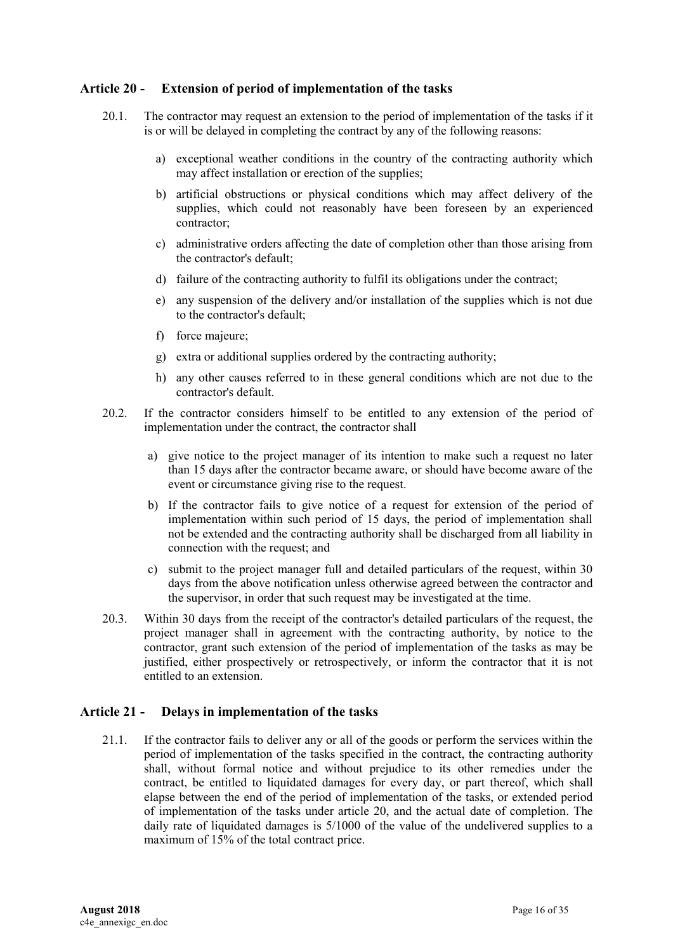### <span id="page-15-0"></span>**Article 20 - Extension of period of implementation of the tasks**

- 20.1. The contractor may request an extension to the period of implementation of the tasks if it is or will be delayed in completing the contract by any of the following reasons:
	- a) exceptional weather conditions in the country of the contracting authority which may affect installation or erection of the supplies;
	- b) artificial obstructions or physical conditions which may affect delivery of the supplies, which could not reasonably have been foreseen by an experienced contractor;
	- c) administrative orders affecting the date of completion other than those arising from the contractor's default;
	- d) failure of the contracting authority to fulfil its obligations under the contract;
	- e) any suspension of the delivery and/or installation of the supplies which is not due to the contractor's default;
	- f) force majeure;
	- g) extra or additional supplies ordered by the contracting authority;
	- h) any other causes referred to in these general conditions which are not due to the contractor's default.
- 20.2. If the contractor considers himself to be entitled to any extension of the period of implementation under the contract, the contractor shall
	- a) give notice to the project manager of its intention to make such a request no later than 15 days after the contractor became aware, or should have become aware of the event or circumstance giving rise to the request.
	- b) If the contractor fails to give notice of a request for extension of the period of implementation within such period of 15 days, the period of implementation shall not be extended and the contracting authority shall be discharged from all liability in connection with the request; and
	- c) submit to the project manager full and detailed particulars of the request, within 30 days from the above notification unless otherwise agreed between the contractor and the supervisor, in order that such request may be investigated at the time.
- 20.3. Within 30 days from the receipt of the contractor's detailed particulars of the request, the project manager shall in agreement with the contracting authority, by notice to the contractor, grant such extension of the period of implementation of the tasks as may be justified, either prospectively or retrospectively, or inform the contractor that it is not entitled to an extension.

### <span id="page-15-1"></span>**Article 21 - Delays in implementation of the tasks**

21.1. If the contractor fails to deliver any or all of the goods or perform the services within the period of implementation of the tasks specified in the contract, the contracting authority shall, without formal notice and without prejudice to its other remedies under the contract, be entitled to liquidated damages for every day, or part thereof, which shall elapse between the end of the period of implementation of the tasks, or extended period of implementation of the tasks under article 20, and the actual date of completion. The daily rate of liquidated damages is 5/1000 of the value of the undelivered supplies to a maximum of 15% of the total contract price.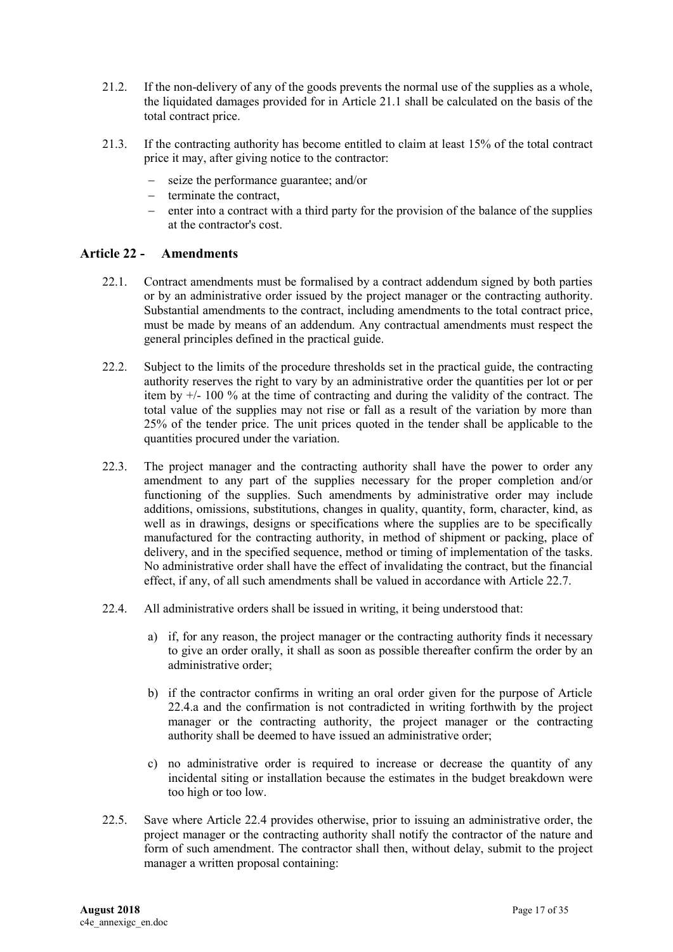- 21.2. If the non-delivery of any of the goods prevents the normal use of the supplies as a whole, the liquidated damages provided for in Article 21.1 shall be calculated on the basis of the total contract price.
- 21.3. If the contracting authority has become entitled to claim at least 15% of the total contract price it may, after giving notice to the contractor:
	- seize the performance guarantee; and/or
	- terminate the contract,
	- enter into a contract with a third party for the provision of the balance of the supplies at the contractor's cost.

### <span id="page-16-0"></span>**Article 22 - Amendments**

- 22.1. Contract amendments must be formalised by a contract addendum signed by both parties or by an administrative order issued by the project manager or the contracting authority. Substantial amendments to the contract, including amendments to the total contract price, must be made by means of an addendum. Any contractual amendments must respect the general principles defined in the practical guide.
- 22.2. Subject to the limits of the procedure thresholds set in the practical guide, the contracting authority reserves the right to vary by an administrative order the quantities per lot or per item by +/- 100 % at the time of contracting and during the validity of the contract. The total value of the supplies may not rise or fall as a result of the variation by more than 25% of the tender price. The unit prices quoted in the tender shall be applicable to the quantities procured under the variation.
- 22.3. The project manager and the contracting authority shall have the power to order any amendment to any part of the supplies necessary for the proper completion and/or functioning of the supplies. Such amendments by administrative order may include additions, omissions, substitutions, changes in quality, quantity, form, character, kind, as well as in drawings, designs or specifications where the supplies are to be specifically manufactured for the contracting authority, in method of shipment or packing, place of delivery, and in the specified sequence, method or timing of implementation of the tasks. No administrative order shall have the effect of invalidating the contract, but the financial effect, if any, of all such amendments shall be valued in accordance with Article 22.7.
- 22.4. All administrative orders shall be issued in writing, it being understood that:
	- a) if, for any reason, the project manager or the contracting authority finds it necessary to give an order orally, it shall as soon as possible thereafter confirm the order by an administrative order;
	- b) if the contractor confirms in writing an oral order given for the purpose of Article 22.4.a and the confirmation is not contradicted in writing forthwith by the project manager or the contracting authority, the project manager or the contracting authority shall be deemed to have issued an administrative order;
	- c) no administrative order is required to increase or decrease the quantity of any incidental siting or installation because the estimates in the budget breakdown were too high or too low.
- 22.5. Save where Article 22.4 provides otherwise, prior to issuing an administrative order, the project manager or the contracting authority shall notify the contractor of the nature and form of such amendment. The contractor shall then, without delay, submit to the project manager a written proposal containing: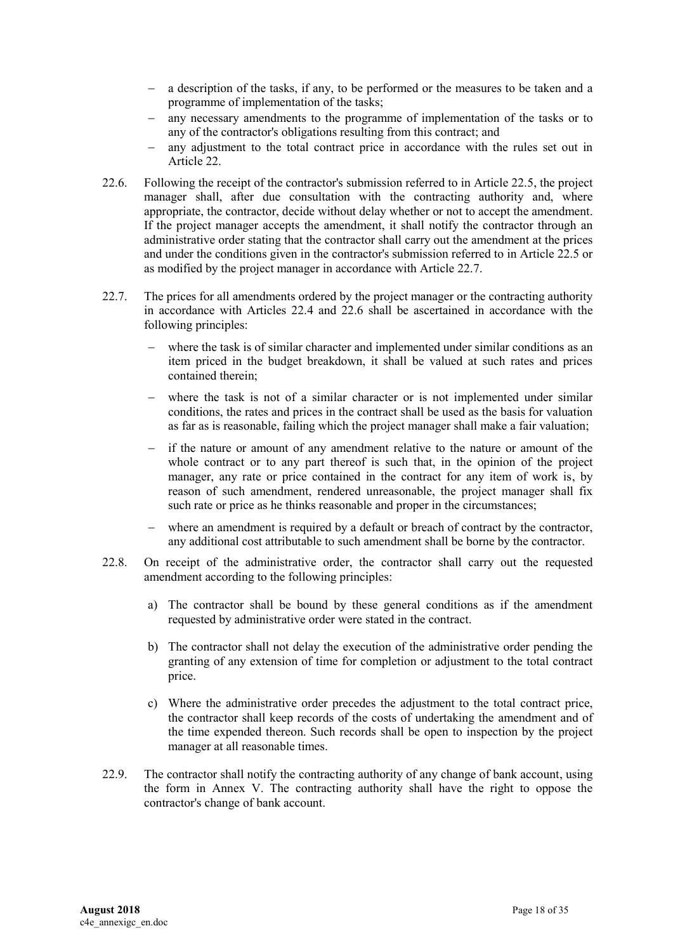- a description of the tasks, if any, to be performed or the measures to be taken and a programme of implementation of the tasks;
- any necessary amendments to the programme of implementation of the tasks or to any of the contractor's obligations resulting from this contract; and
- any adjustment to the total contract price in accordance with the rules set out in Article 22.
- 22.6. Following the receipt of the contractor's submission referred to in Article 22.5, the project manager shall, after due consultation with the contracting authority and, where appropriate, the contractor, decide without delay whether or not to accept the amendment. If the project manager accepts the amendment, it shall notify the contractor through an administrative order stating that the contractor shall carry out the amendment at the prices and under the conditions given in the contractor's submission referred to in Article 22.5 or as modified by the project manager in accordance with Article 22.7.
- 22.7. The prices for all amendments ordered by the project manager or the contracting authority in accordance with Articles 22.4 and 22.6 shall be ascertained in accordance with the following principles:
	- where the task is of similar character and implemented under similar conditions as an item priced in the budget breakdown, it shall be valued at such rates and prices contained therein;
	- where the task is not of a similar character or is not implemented under similar conditions, the rates and prices in the contract shall be used as the basis for valuation as far as is reasonable, failing which the project manager shall make a fair valuation;
	- if the nature or amount of any amendment relative to the nature or amount of the whole contract or to any part thereof is such that, in the opinion of the project manager, any rate or price contained in the contract for any item of work is, by reason of such amendment, rendered unreasonable, the project manager shall fix such rate or price as he thinks reasonable and proper in the circumstances;
	- where an amendment is required by a default or breach of contract by the contractor, any additional cost attributable to such amendment shall be borne by the contractor.
- 22.8. On receipt of the administrative order, the contractor shall carry out the requested amendment according to the following principles:
	- a) The contractor shall be bound by these general conditions as if the amendment requested by administrative order were stated in the contract.
	- b) The contractor shall not delay the execution of the administrative order pending the granting of any extension of time for completion or adjustment to the total contract price.
	- c) Where the administrative order precedes the adjustment to the total contract price, the contractor shall keep records of the costs of undertaking the amendment and of the time expended thereon. Such records shall be open to inspection by the project manager at all reasonable times.
- 22.9. The contractor shall notify the contracting authority of any change of bank account, using the form in Annex V. The contracting authority shall have the right to oppose the contractor's change of bank account.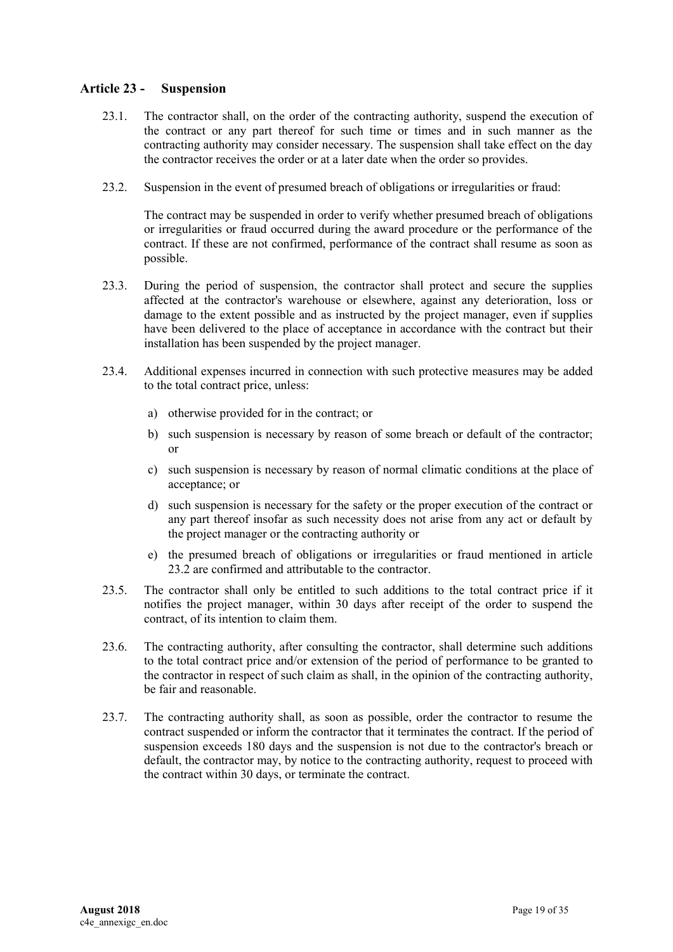### <span id="page-18-0"></span>**Article 23 - Suspension**

- 23.1. The contractor shall, on the order of the contracting authority, suspend the execution of the contract or any part thereof for such time or times and in such manner as the contracting authority may consider necessary. The suspension shall take effect on the day the contractor receives the order or at a later date when the order so provides.
- 23.2. Suspension in the event of presumed breach of obligations or irregularities or fraud:

The contract may be suspended in order to verify whether presumed breach of obligations or irregularities or fraud occurred during the award procedure or the performance of the contract. If these are not confirmed, performance of the contract shall resume as soon as possible.

- 23.3. During the period of suspension, the contractor shall protect and secure the supplies affected at the contractor's warehouse or elsewhere, against any deterioration, loss or damage to the extent possible and as instructed by the project manager, even if supplies have been delivered to the place of acceptance in accordance with the contract but their installation has been suspended by the project manager.
- 23.4. Additional expenses incurred in connection with such protective measures may be added to the total contract price, unless:
	- a) otherwise provided for in the contract; or
	- b) such suspension is necessary by reason of some breach or default of the contractor; or
	- c) such suspension is necessary by reason of normal climatic conditions at the place of acceptance; or
	- d) such suspension is necessary for the safety or the proper execution of the contract or any part thereof insofar as such necessity does not arise from any act or default by the project manager or the contracting authority or
	- e) the presumed breach of obligations or irregularities or fraud mentioned in article 23.2 are confirmed and attributable to the contractor.
- 23.5. The contractor shall only be entitled to such additions to the total contract price if it notifies the project manager, within 30 days after receipt of the order to suspend the contract, of its intention to claim them.
- 23.6. The contracting authority, after consulting the contractor, shall determine such additions to the total contract price and/or extension of the period of performance to be granted to the contractor in respect of such claim as shall, in the opinion of the contracting authority, be fair and reasonable.
- 23.7. The contracting authority shall, as soon as possible, order the contractor to resume the contract suspended or inform the contractor that it terminates the contract. If the period of suspension exceeds 180 days and the suspension is not due to the contractor's breach or default, the contractor may, by notice to the contracting authority, request to proceed with the contract within 30 days, or terminate the contract.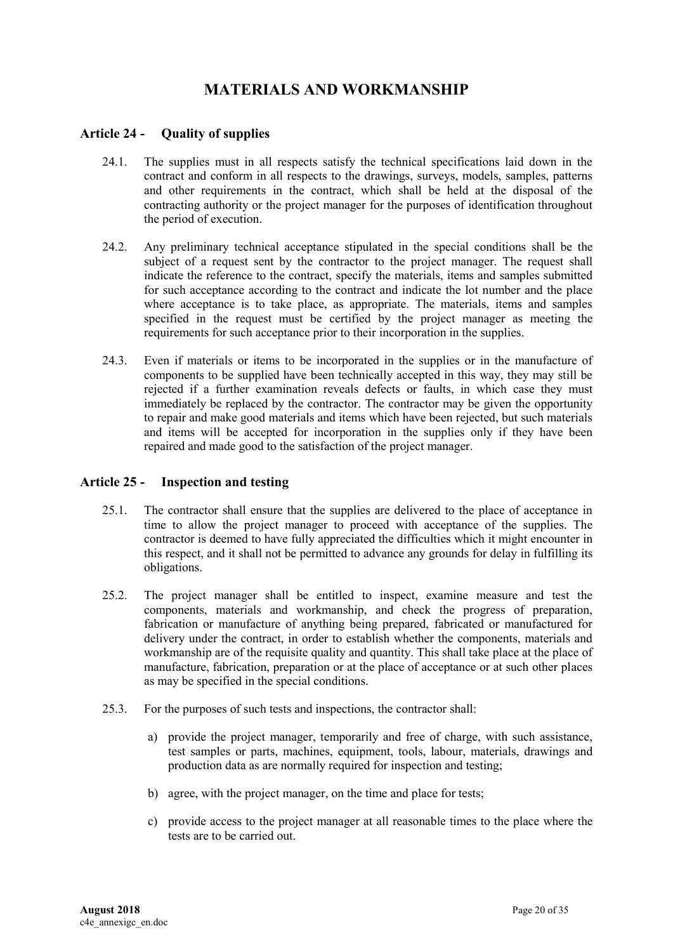# **MATERIALS AND WORKMANSHIP**

### <span id="page-19-1"></span><span id="page-19-0"></span>**Article 24 - Quality of supplies**

- 24.1. The supplies must in all respects satisfy the technical specifications laid down in the contract and conform in all respects to the drawings, surveys, models, samples, patterns and other requirements in the contract, which shall be held at the disposal of the contracting authority or the project manager for the purposes of identification throughout the period of execution.
- 24.2. Any preliminary technical acceptance stipulated in the special conditions shall be the subject of a request sent by the contractor to the project manager. The request shall indicate the reference to the contract, specify the materials, items and samples submitted for such acceptance according to the contract and indicate the lot number and the place where acceptance is to take place, as appropriate. The materials, items and samples specified in the request must be certified by the project manager as meeting the requirements for such acceptance prior to their incorporation in the supplies.
- 24.3. Even if materials or items to be incorporated in the supplies or in the manufacture of components to be supplied have been technically accepted in this way, they may still be rejected if a further examination reveals defects or faults, in which case they must immediately be replaced by the contractor. The contractor may be given the opportunity to repair and make good materials and items which have been rejected, but such materials and items will be accepted for incorporation in the supplies only if they have been repaired and made good to the satisfaction of the project manager.

### <span id="page-19-2"></span>**Article 25 - Inspection and testing**

- 25.1. The contractor shall ensure that the supplies are delivered to the place of acceptance in time to allow the project manager to proceed with acceptance of the supplies. The contractor is deemed to have fully appreciated the difficulties which it might encounter in this respect, and it shall not be permitted to advance any grounds for delay in fulfilling its obligations.
- 25.2. The project manager shall be entitled to inspect, examine measure and test the components, materials and workmanship, and check the progress of preparation, fabrication or manufacture of anything being prepared, fabricated or manufactured for delivery under the contract, in order to establish whether the components, materials and workmanship are of the requisite quality and quantity. This shall take place at the place of manufacture, fabrication, preparation or at the place of acceptance or at such other places as may be specified in the special conditions.
- 25.3. For the purposes of such tests and inspections, the contractor shall:
	- a) provide the project manager, temporarily and free of charge, with such assistance, test samples or parts, machines, equipment, tools, labour, materials, drawings and production data as are normally required for inspection and testing;
	- b) agree, with the project manager, on the time and place for tests;
	- c) provide access to the project manager at all reasonable times to the place where the tests are to be carried out.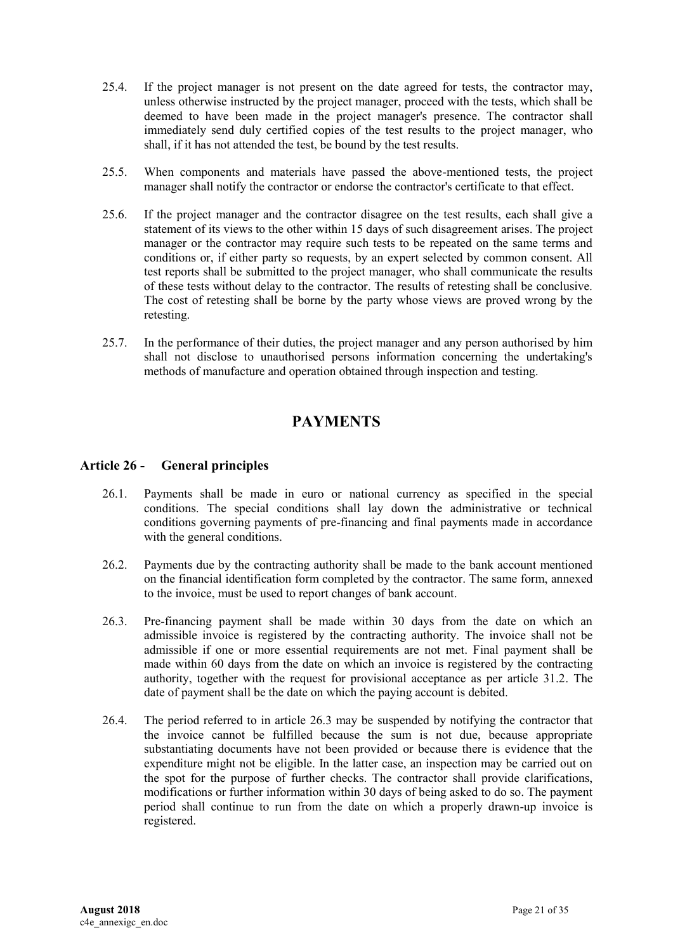- 25.4. If the project manager is not present on the date agreed for tests, the contractor may, unless otherwise instructed by the project manager, proceed with the tests, which shall be deemed to have been made in the project manager's presence. The contractor shall immediately send duly certified copies of the test results to the project manager, who shall, if it has not attended the test, be bound by the test results.
- 25.5. When components and materials have passed the above-mentioned tests, the project manager shall notify the contractor or endorse the contractor's certificate to that effect.
- 25.6. If the project manager and the contractor disagree on the test results, each shall give a statement of its views to the other within 15 days of such disagreement arises. The project manager or the contractor may require such tests to be repeated on the same terms and conditions or, if either party so requests, by an expert selected by common consent. All test reports shall be submitted to the project manager, who shall communicate the results of these tests without delay to the contractor. The results of retesting shall be conclusive. The cost of retesting shall be borne by the party whose views are proved wrong by the retesting.
- <span id="page-20-0"></span>25.7. In the performance of their duties, the project manager and any person authorised by him shall not disclose to unauthorised persons information concerning the undertaking's methods of manufacture and operation obtained through inspection and testing.

## **PAYMENTS**

### <span id="page-20-1"></span>**Article 26 - General principles**

- 26.1. Payments shall be made in euro or national currency as specified in the special conditions. The special conditions shall lay down the administrative or technical conditions governing payments of pre-financing and final payments made in accordance with the general conditions.
- 26.2. Payments due by the contracting authority shall be made to the bank account mentioned on the financial identification form completed by the contractor. The same form, annexed to the invoice, must be used to report changes of bank account.
- 26.3. Pre-financing payment shall be made within 30 days from the date on which an admissible invoice is registered by the contracting authority. The invoice shall not be admissible if one or more essential requirements are not met. Final payment shall be made within 60 days from the date on which an invoice is registered by the contracting authority, together with the request for provisional acceptance as per article 31.2. The date of payment shall be the date on which the paying account is debited.
- 26.4. The period referred to in article 26.3 may be suspended by notifying the contractor that the invoice cannot be fulfilled because the sum is not due, because appropriate substantiating documents have not been provided or because there is evidence that the expenditure might not be eligible. In the latter case, an inspection may be carried out on the spot for the purpose of further checks. The contractor shall provide clarifications, modifications or further information within 30 days of being asked to do so. The payment period shall continue to run from the date on which a properly drawn-up invoice is registered.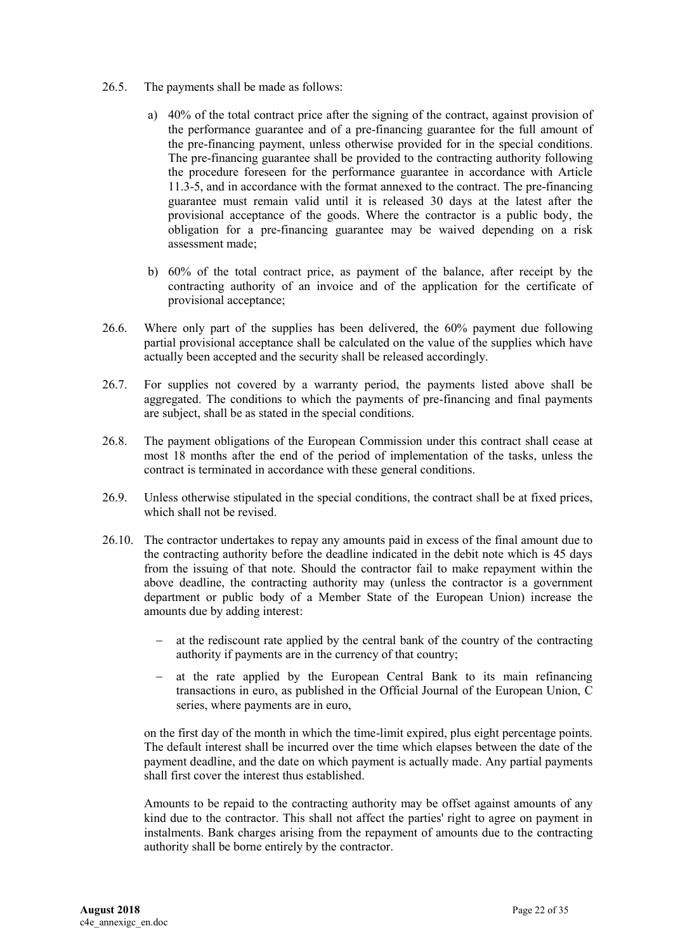- 26.5. The payments shall be made as follows:
	- a) 40% of the total contract price after the signing of the contract, against provision of the performance guarantee and of a pre-financing guarantee for the full amount of the pre-financing payment, unless otherwise provided for in the special conditions. The pre-financing guarantee shall be provided to the contracting authority following the procedure foreseen for the performance guarantee in accordance with Article 11.3-5, and in accordance with the format annexed to the contract. The pre-financing guarantee must remain valid until it is released 30 days at the latest after the provisional acceptance of the goods. Where the contractor is a public body, the obligation for a pre-financing guarantee may be waived depending on a risk assessment made;
	- b) 60% of the total contract price, as payment of the balance, after receipt by the contracting authority of an invoice and of the application for the certificate of provisional acceptance;
- 26.6. Where only part of the supplies has been delivered, the 60% payment due following partial provisional acceptance shall be calculated on the value of the supplies which have actually been accepted and the security shall be released accordingly.
- 26.7. For supplies not covered by a warranty period, the payments listed above shall be aggregated. The conditions to which the payments of pre-financing and final payments are subject, shall be as stated in the special conditions.
- 26.8. The payment obligations of the European Commission under this contract shall cease at most 18 months after the end of the period of implementation of the tasks, unless the contract is terminated in accordance with these general conditions.
- 26.9. Unless otherwise stipulated in the special conditions, the contract shall be at fixed prices, which shall not be revised.
- 26.10. The contractor undertakes to repay any amounts paid in excess of the final amount due to the contracting authority before the deadline indicated in the debit note which is 45 days from the issuing of that note. Should the contractor fail to make repayment within the above deadline, the contracting authority may (unless the contractor is a government department or public body of a Member State of the European Union) increase the amounts due by adding interest:
	- at the rediscount rate applied by the central bank of the country of the contracting authority if payments are in the currency of that country;
	- at the rate applied by the European Central Bank to its main refinancing transactions in euro, as published in the Official Journal of the European Union, C series, where payments are in euro,

on the first day of the month in which the time-limit expired, plus eight percentage points. The default interest shall be incurred over the time which elapses between the date of the payment deadline, and the date on which payment is actually made. Any partial payments shall first cover the interest thus established.

Amounts to be repaid to the contracting authority may be offset against amounts of any kind due to the contractor. This shall not affect the parties' right to agree on payment in instalments. Bank charges arising from the repayment of amounts due to the contracting authority shall be borne entirely by the contractor.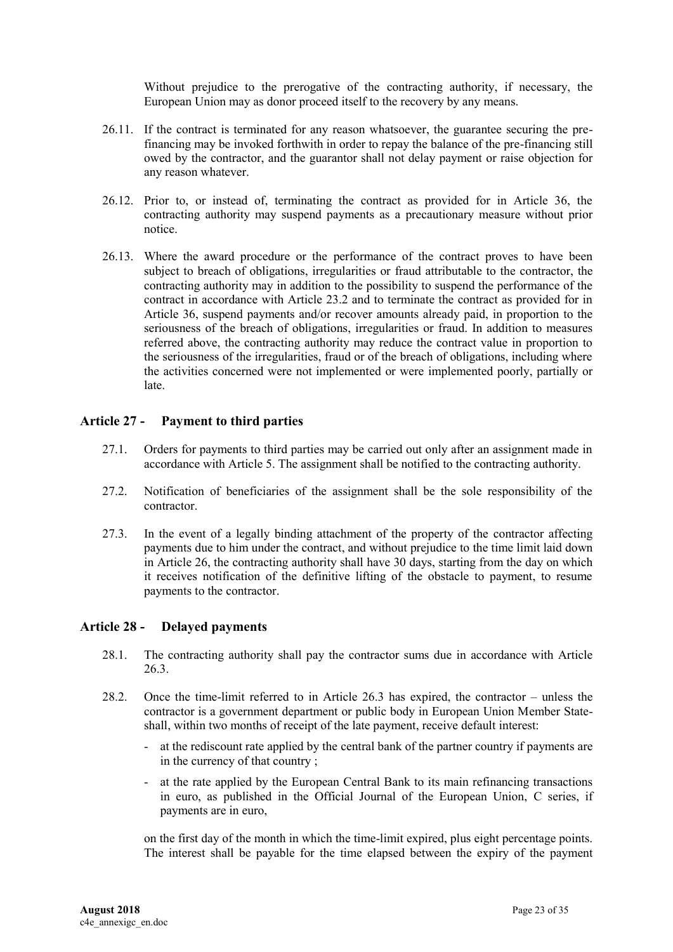Without prejudice to the prerogative of the contracting authority, if necessary, the European Union may as donor proceed itself to the recovery by any means.

- 26.11. If the contract is terminated for any reason whatsoever, the guarantee securing the prefinancing may be invoked forthwith in order to repay the balance of the pre-financing still owed by the contractor, and the guarantor shall not delay payment or raise objection for any reason whatever.
- 26.12. Prior to, or instead of, terminating the contract as provided for in Article 36, the contracting authority may suspend payments as a precautionary measure without prior notice.
- 26.13. Where the award procedure or the performance of the contract proves to have been subject to breach of obligations, irregularities or fraud attributable to the contractor, the contracting authority may in addition to the possibility to suspend the performance of the contract in accordance with Article 23.2 and to terminate the contract as provided for in Article 36, suspend payments and/or recover amounts already paid, in proportion to the seriousness of the breach of obligations, irregularities or fraud. In addition to measures referred above, the contracting authority may reduce the contract value in proportion to the seriousness of the irregularities, fraud or of the breach of obligations, including where the activities concerned were not implemented or were implemented poorly, partially or late.

### <span id="page-22-0"></span>**Article 27 - Payment to third parties**

- 27.1. Orders for payments to third parties may be carried out only after an assignment made in accordance with Article 5. The assignment shall be notified to the contracting authority.
- 27.2. Notification of beneficiaries of the assignment shall be the sole responsibility of the contractor.
- 27.3. In the event of a legally binding attachment of the property of the contractor affecting payments due to him under the contract, and without prejudice to the time limit laid down in Article 26, the contracting authority shall have 30 days, starting from the day on which it receives notification of the definitive lifting of the obstacle to payment, to resume payments to the contractor.

### <span id="page-22-1"></span>**Article 28 - Delayed payments**

- 28.1. The contracting authority shall pay the contractor sums due in accordance with Article 26.3.
- 28.2. Once the time-limit referred to in Article 26.3 has expired, the contractor unless the contractor is a government department or public body in European Union Member Stateshall, within two months of receipt of the late payment, receive default interest:
	- at the rediscount rate applied by the central bank of the partner country if payments are in the currency of that country ;
	- at the rate applied by the European Central Bank to its main refinancing transactions in euro, as published in the Official Journal of the European Union, C series, if payments are in euro,

on the first day of the month in which the time-limit expired, plus eight percentage points. The interest shall be payable for the time elapsed between the expiry of the payment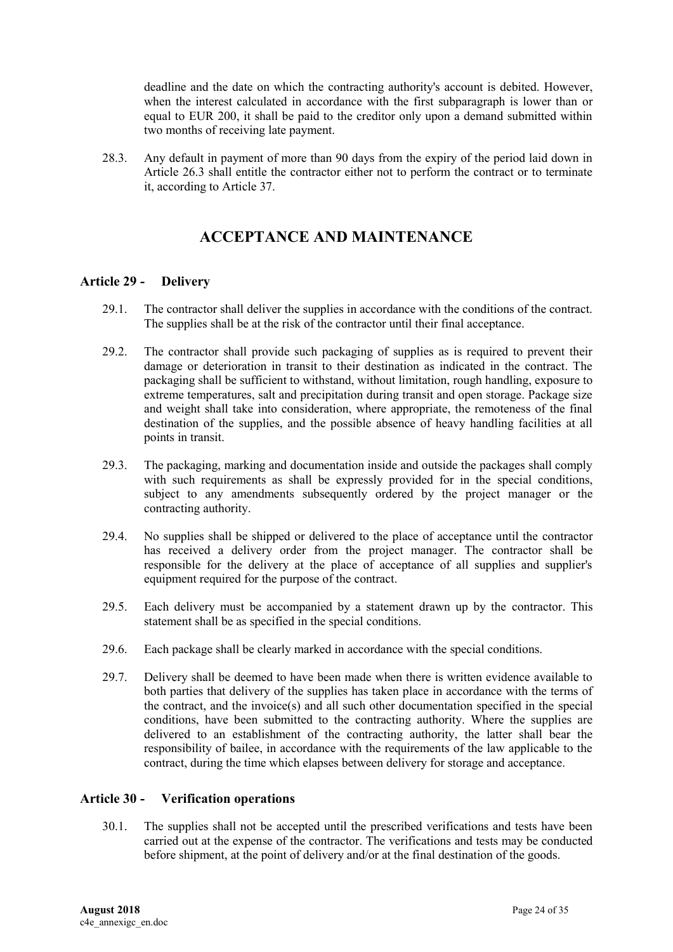deadline and the date on which the contracting authority's account is debited. However, when the interest calculated in accordance with the first subparagraph is lower than or equal to EUR 200, it shall be paid to the creditor only upon a demand submitted within two months of receiving late payment.

<span id="page-23-0"></span>28.3. Any default in payment of more than 90 days from the expiry of the period laid down in Article 26.3 shall entitle the contractor either not to perform the contract or to terminate it, according to Article 37.

# **ACCEPTANCE AND MAINTENANCE**

### <span id="page-23-1"></span>**Article 29 - Delivery**

- 29.1. The contractor shall deliver the supplies in accordance with the conditions of the contract. The supplies shall be at the risk of the contractor until their final acceptance.
- 29.2. The contractor shall provide such packaging of supplies as is required to prevent their damage or deterioration in transit to their destination as indicated in the contract. The packaging shall be sufficient to withstand, without limitation, rough handling, exposure to extreme temperatures, salt and precipitation during transit and open storage. Package size and weight shall take into consideration, where appropriate, the remoteness of the final destination of the supplies, and the possible absence of heavy handling facilities at all points in transit.
- 29.3. The packaging, marking and documentation inside and outside the packages shall comply with such requirements as shall be expressly provided for in the special conditions, subject to any amendments subsequently ordered by the project manager or the contracting authority.
- 29.4. No supplies shall be shipped or delivered to the place of acceptance until the contractor has received a delivery order from the project manager. The contractor shall be responsible for the delivery at the place of acceptance of all supplies and supplier's equipment required for the purpose of the contract.
- 29.5. Each delivery must be accompanied by a statement drawn up by the contractor. This statement shall be as specified in the special conditions.
- 29.6. Each package shall be clearly marked in accordance with the special conditions.
- 29.7. Delivery shall be deemed to have been made when there is written evidence available to both parties that delivery of the supplies has taken place in accordance with the terms of the contract, and the invoice(s) and all such other documentation specified in the special conditions, have been submitted to the contracting authority. Where the supplies are delivered to an establishment of the contracting authority, the latter shall bear the responsibility of bailee, in accordance with the requirements of the law applicable to the contract, during the time which elapses between delivery for storage and acceptance.

### <span id="page-23-2"></span>**Article 30 - Verification operations**

30.1. The supplies shall not be accepted until the prescribed verifications and tests have been carried out at the expense of the contractor. The verifications and tests may be conducted before shipment, at the point of delivery and/or at the final destination of the goods.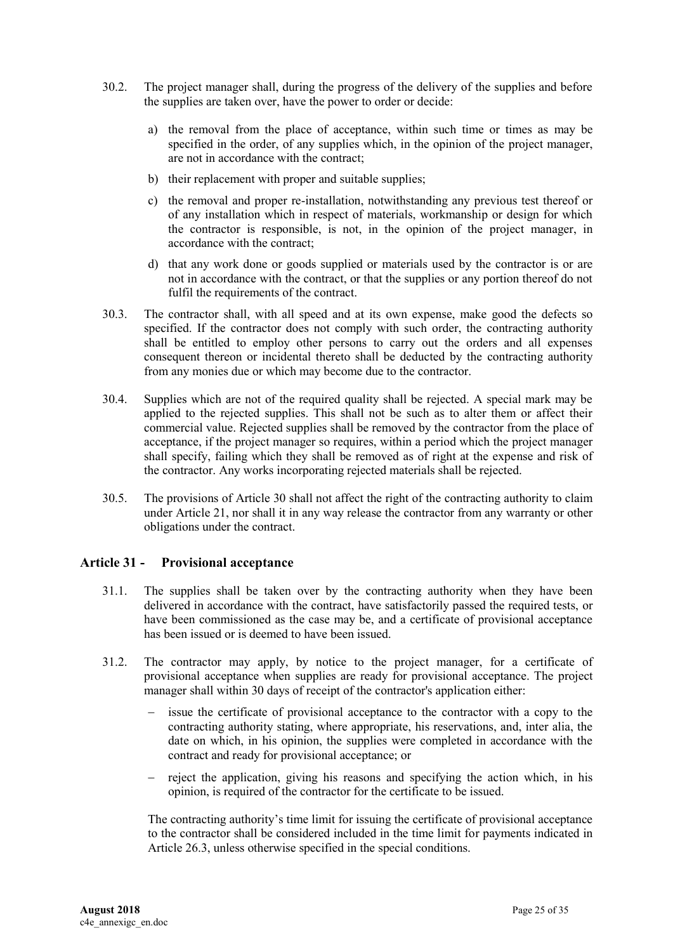- 30.2. The project manager shall, during the progress of the delivery of the supplies and before the supplies are taken over, have the power to order or decide:
	- a) the removal from the place of acceptance, within such time or times as may be specified in the order, of any supplies which, in the opinion of the project manager, are not in accordance with the contract;
	- b) their replacement with proper and suitable supplies;
	- c) the removal and proper re-installation, notwithstanding any previous test thereof or of any installation which in respect of materials, workmanship or design for which the contractor is responsible, is not, in the opinion of the project manager, in accordance with the contract;
	- d) that any work done or goods supplied or materials used by the contractor is or are not in accordance with the contract, or that the supplies or any portion thereof do not fulfil the requirements of the contract.
- 30.3. The contractor shall, with all speed and at its own expense, make good the defects so specified. If the contractor does not comply with such order, the contracting authority shall be entitled to employ other persons to carry out the orders and all expenses consequent thereon or incidental thereto shall be deducted by the contracting authority from any monies due or which may become due to the contractor.
- 30.4. Supplies which are not of the required quality shall be rejected. A special mark may be applied to the rejected supplies. This shall not be such as to alter them or affect their commercial value. Rejected supplies shall be removed by the contractor from the place of acceptance, if the project manager so requires, within a period which the project manager shall specify, failing which they shall be removed as of right at the expense and risk of the contractor. Any works incorporating rejected materials shall be rejected.
- 30.5. The provisions of Article 30 shall not affect the right of the contracting authority to claim under Article 21, nor shall it in any way release the contractor from any warranty or other obligations under the contract.

### <span id="page-24-0"></span>**Article 31 - Provisional acceptance**

- 31.1. The supplies shall be taken over by the contracting authority when they have been delivered in accordance with the contract, have satisfactorily passed the required tests, or have been commissioned as the case may be, and a certificate of provisional acceptance has been issued or is deemed to have been issued.
- 31.2. The contractor may apply, by notice to the project manager, for a certificate of provisional acceptance when supplies are ready for provisional acceptance. The project manager shall within 30 days of receipt of the contractor's application either:
	- issue the certificate of provisional acceptance to the contractor with a copy to the contracting authority stating, where appropriate, his reservations, and, inter alia, the date on which, in his opinion, the supplies were completed in accordance with the contract and ready for provisional acceptance; or
	- reject the application, giving his reasons and specifying the action which, in his opinion, is required of the contractor for the certificate to be issued.

The contracting authority's time limit for issuing the certificate of provisional acceptance to the contractor shall be considered included in the time limit for payments indicated in Article 26.3, unless otherwise specified in the special conditions.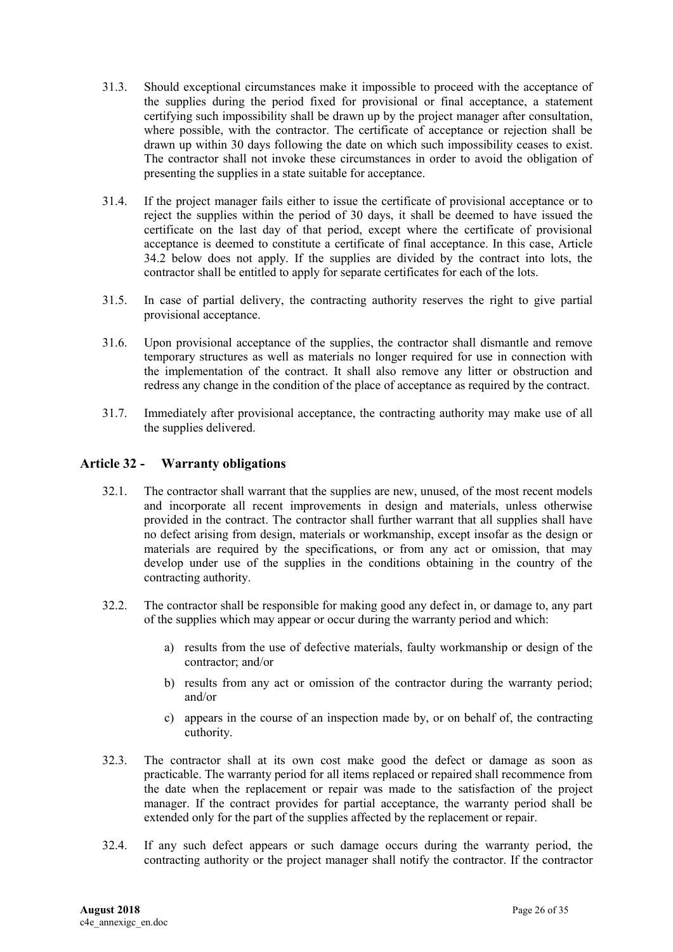- 31.3. Should exceptional circumstances make it impossible to proceed with the acceptance of the supplies during the period fixed for provisional or final acceptance, a statement certifying such impossibility shall be drawn up by the project manager after consultation, where possible, with the contractor. The certificate of acceptance or rejection shall be drawn up within 30 days following the date on which such impossibility ceases to exist. The contractor shall not invoke these circumstances in order to avoid the obligation of presenting the supplies in a state suitable for acceptance.
- 31.4. If the project manager fails either to issue the certificate of provisional acceptance or to reject the supplies within the period of 30 days, it shall be deemed to have issued the certificate on the last day of that period, except where the certificate of provisional acceptance is deemed to constitute a certificate of final acceptance. In this case, Article 34.2 below does not apply. If the supplies are divided by the contract into lots, the contractor shall be entitled to apply for separate certificates for each of the lots.
- 31.5. In case of partial delivery, the contracting authority reserves the right to give partial provisional acceptance.
- 31.6. Upon provisional acceptance of the supplies, the contractor shall dismantle and remove temporary structures as well as materials no longer required for use in connection with the implementation of the contract. It shall also remove any litter or obstruction and redress any change in the condition of the place of acceptance as required by the contract.
- 31.7. Immediately after provisional acceptance, the contracting authority may make use of all the supplies delivered.

### <span id="page-25-0"></span>**Article 32 - Warranty obligations**

- 32.1. The contractor shall warrant that the supplies are new, unused, of the most recent models and incorporate all recent improvements in design and materials, unless otherwise provided in the contract. The contractor shall further warrant that all supplies shall have no defect arising from design, materials or workmanship, except insofar as the design or materials are required by the specifications, or from any act or omission, that may develop under use of the supplies in the conditions obtaining in the country of the contracting authority.
- 32.2. The contractor shall be responsible for making good any defect in, or damage to, any part of the supplies which may appear or occur during the warranty period and which:
	- a) results from the use of defective materials, faulty workmanship or design of the contractor; and/or
	- b) results from any act or omission of the contractor during the warranty period; and/or
	- c) appears in the course of an inspection made by, or on behalf of, the contracting cuthority.
- 32.3. The contractor shall at its own cost make good the defect or damage as soon as practicable. The warranty period for all items replaced or repaired shall recommence from the date when the replacement or repair was made to the satisfaction of the project manager. If the contract provides for partial acceptance, the warranty period shall be extended only for the part of the supplies affected by the replacement or repair.
- 32.4. If any such defect appears or such damage occurs during the warranty period, the contracting authority or the project manager shall notify the contractor. If the contractor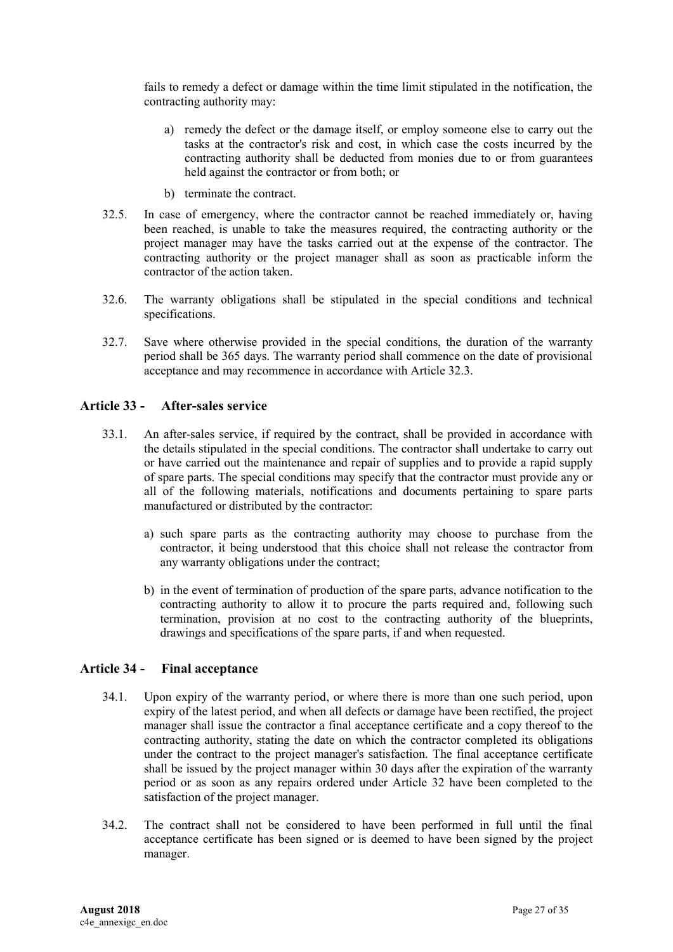fails to remedy a defect or damage within the time limit stipulated in the notification, the contracting authority may:

- a) remedy the defect or the damage itself, or employ someone else to carry out the tasks at the contractor's risk and cost, in which case the costs incurred by the contracting authority shall be deducted from monies due to or from guarantees held against the contractor or from both; or
- b) terminate the contract.
- 32.5. In case of emergency, where the contractor cannot be reached immediately or, having been reached, is unable to take the measures required, the contracting authority or the project manager may have the tasks carried out at the expense of the contractor. The contracting authority or the project manager shall as soon as practicable inform the contractor of the action taken.
- 32.6. The warranty obligations shall be stipulated in the special conditions and technical specifications.
- 32.7. Save where otherwise provided in the special conditions, the duration of the warranty period shall be 365 days. The warranty period shall commence on the date of provisional acceptance and may recommence in accordance with Article 32.3.

### <span id="page-26-0"></span>**Article 33 - After-sales service**

- 33.1. An after-sales service, if required by the contract, shall be provided in accordance with the details stipulated in the special conditions. The contractor shall undertake to carry out or have carried out the maintenance and repair of supplies and to provide a rapid supply of spare parts. The special conditions may specify that the contractor must provide any or all of the following materials, notifications and documents pertaining to spare parts manufactured or distributed by the contractor:
	- a) such spare parts as the contracting authority may choose to purchase from the contractor, it being understood that this choice shall not release the contractor from any warranty obligations under the contract;
	- b) in the event of termination of production of the spare parts, advance notification to the contracting authority to allow it to procure the parts required and, following such termination, provision at no cost to the contracting authority of the blueprints, drawings and specifications of the spare parts, if and when requested.

### <span id="page-26-1"></span>**Article 34 - Final acceptance**

- 34.1. Upon expiry of the warranty period, or where there is more than one such period, upon expiry of the latest period, and when all defects or damage have been rectified, the project manager shall issue the contractor a final acceptance certificate and a copy thereof to the contracting authority, stating the date on which the contractor completed its obligations under the contract to the project manager's satisfaction. The final acceptance certificate shall be issued by the project manager within 30 days after the expiration of the warranty period or as soon as any repairs ordered under Article 32 have been completed to the satisfaction of the project manager.
- 34.2. The contract shall not be considered to have been performed in full until the final acceptance certificate has been signed or is deemed to have been signed by the project manager.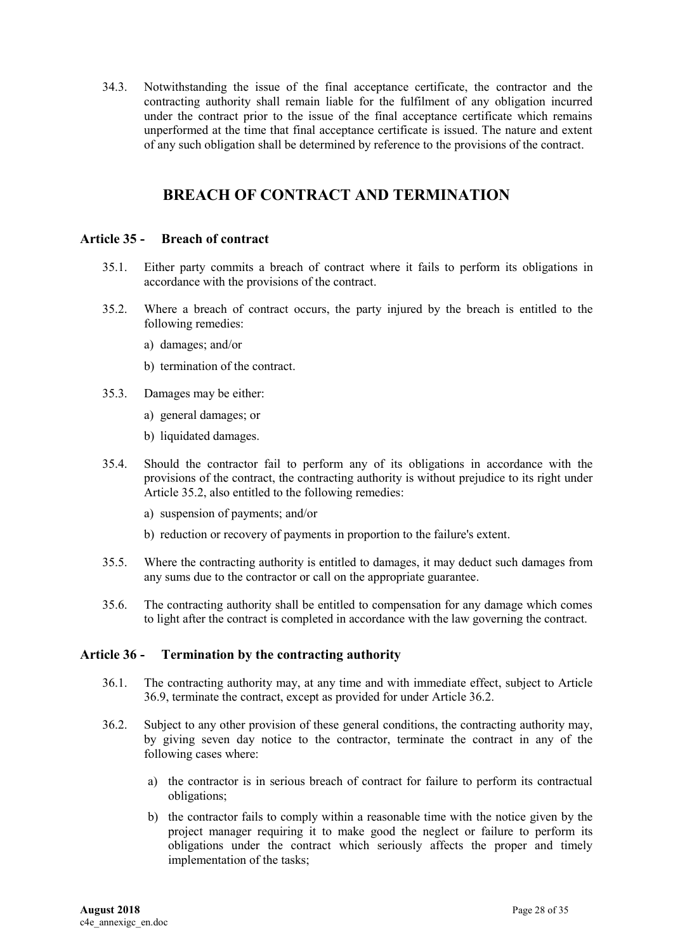34.3. Notwithstanding the issue of the final acceptance certificate, the contractor and the contracting authority shall remain liable for the fulfilment of any obligation incurred under the contract prior to the issue of the final acceptance certificate which remains unperformed at the time that final acceptance certificate is issued. The nature and extent of any such obligation shall be determined by reference to the provisions of the contract.

## **BREACH OF CONTRACT AND TERMINATION**

#### <span id="page-27-1"></span><span id="page-27-0"></span>**Article 35 - Breach of contract**

- 35.1. Either party commits a breach of contract where it fails to perform its obligations in accordance with the provisions of the contract.
- 35.2. Where a breach of contract occurs, the party injured by the breach is entitled to the following remedies:
	- a) damages; and/or
	- b) termination of the contract.
- 35.3. Damages may be either:
	- a) general damages; or
	- b) liquidated damages.
- 35.4. Should the contractor fail to perform any of its obligations in accordance with the provisions of the contract, the contracting authority is without prejudice to its right under Article 35.2, also entitled to the following remedies:
	- a) suspension of payments; and/or
	- b) reduction or recovery of payments in proportion to the failure's extent.
- 35.5. Where the contracting authority is entitled to damages, it may deduct such damages from any sums due to the contractor or call on the appropriate guarantee.
- 35.6. The contracting authority shall be entitled to compensation for any damage which comes to light after the contract is completed in accordance with the law governing the contract.

### <span id="page-27-2"></span>**Article 36 - Termination by the contracting authority**

- 36.1. The contracting authority may, at any time and with immediate effect, subject to Article 36.9, terminate the contract, except as provided for under Article 36.2.
- 36.2. Subject to any other provision of these general conditions, the contracting authority may, by giving seven day notice to the contractor, terminate the contract in any of the following cases where:
	- a) the contractor is in serious breach of contract for failure to perform its contractual obligations;
	- b) the contractor fails to comply within a reasonable time with the notice given by the project manager requiring it to make good the neglect or failure to perform its obligations under the contract which seriously affects the proper and timely implementation of the tasks;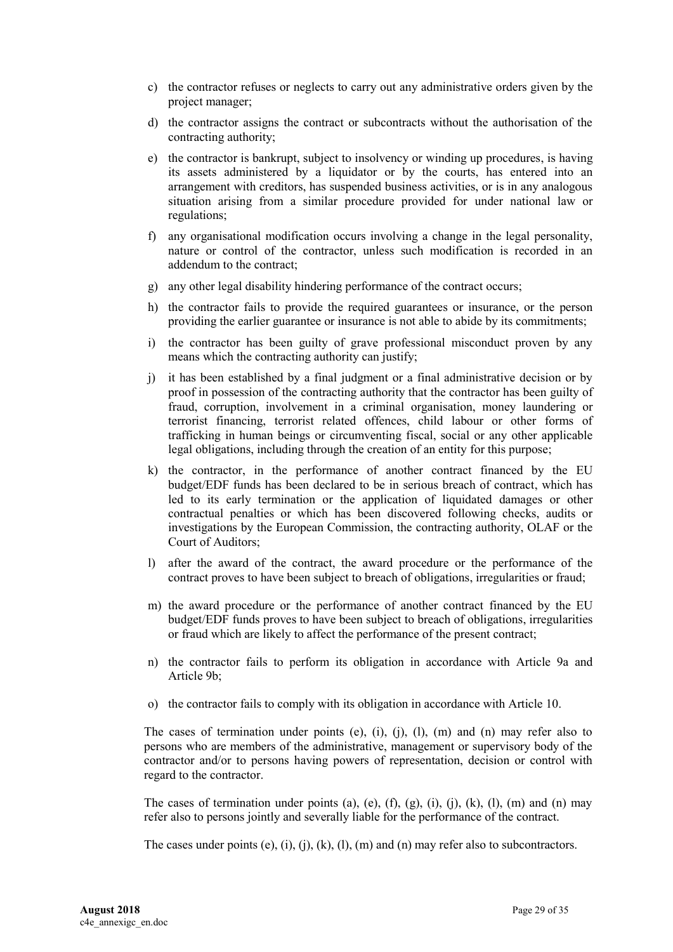- c) the contractor refuses or neglects to carry out any administrative orders given by the project manager;
- d) the contractor assigns the contract or subcontracts without the authorisation of the contracting authority;
- e) the contractor is bankrupt, subject to insolvency or winding up procedures, is having its assets administered by a liquidator or by the courts, has entered into an arrangement with creditors, has suspended business activities, or is in any analogous situation arising from a similar procedure provided for under national law or regulations;
- f) any organisational modification occurs involving a change in the legal personality, nature or control of the contractor, unless such modification is recorded in an addendum to the contract;
- g) any other legal disability hindering performance of the contract occurs;
- h) the contractor fails to provide the required guarantees or insurance, or the person providing the earlier guarantee or insurance is not able to abide by its commitments;
- i) the contractor has been guilty of grave professional misconduct proven by any means which the contracting authority can justify;
- j) it has been established by a final judgment or a final administrative decision or by proof in possession of the contracting authority that the contractor has been guilty of fraud, corruption, involvement in a criminal organisation, money laundering or terrorist financing, terrorist related offences, child labour or other forms of trafficking in human beings or circumventing fiscal, social or any other applicable legal obligations, including through the creation of an entity for this purpose;
- k) the contractor, in the performance of another contract financed by the EU budget/EDF funds has been declared to be in serious breach of contract, which has led to its early termination or the application of liquidated damages or other contractual penalties or which has been discovered following checks, audits or investigations by the European Commission, the contracting authority, OLAF or the Court of Auditors;
- l) after the award of the contract, the award procedure or the performance of the contract proves to have been subject to breach of obligations, irregularities or fraud;
- m) the award procedure or the performance of another contract financed by the EU budget/EDF funds proves to have been subject to breach of obligations, irregularities or fraud which are likely to affect the performance of the present contract;
- n) the contractor fails to perform its obligation in accordance with Article 9a and Article 9b;
- o) the contractor fails to comply with its obligation in accordance with Article 10.

The cases of termination under points (e), (i), (i), (l), (m) and (n) may refer also to persons who are members of the administrative, management or supervisory body of the contractor and/or to persons having powers of representation, decision or control with regard to the contractor.

The cases of termination under points (a), (e), (f), (g), (i), (j), (k), (l), (m) and (n) may refer also to persons jointly and severally liable for the performance of the contract.

The cases under points (e), (i), (j), (k), (l), (m) and (n) may refer also to subcontractors.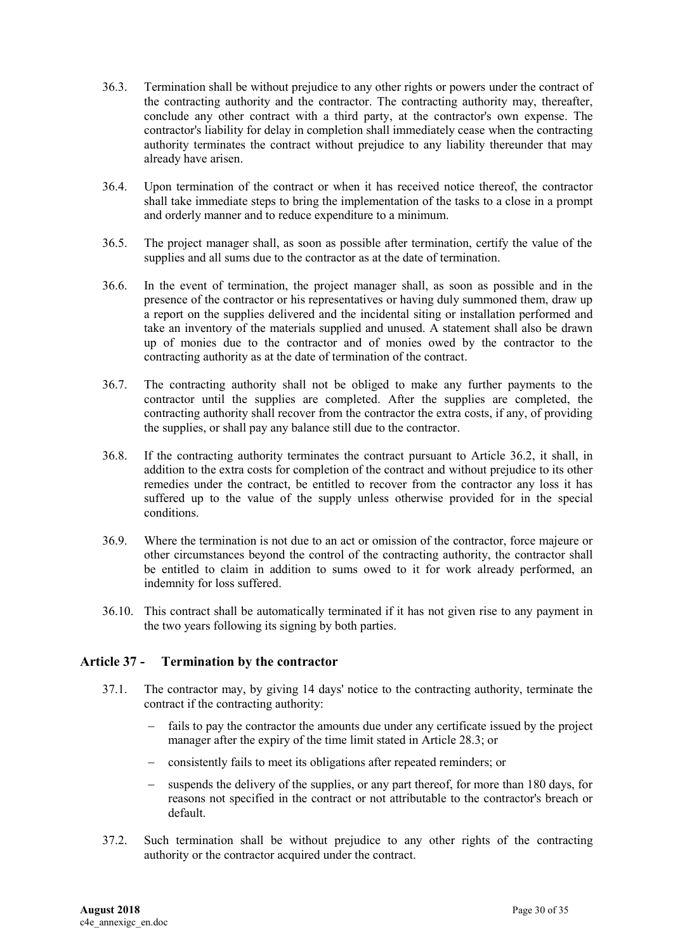- 36.3. Termination shall be without prejudice to any other rights or powers under the contract of the contracting authority and the contractor. The contracting authority may, thereafter, conclude any other contract with a third party, at the contractor's own expense. The contractor's liability for delay in completion shall immediately cease when the contracting authority terminates the contract without prejudice to any liability thereunder that may already have arisen.
- 36.4. Upon termination of the contract or when it has received notice thereof, the contractor shall take immediate steps to bring the implementation of the tasks to a close in a prompt and orderly manner and to reduce expenditure to a minimum.
- 36.5. The project manager shall, as soon as possible after termination, certify the value of the supplies and all sums due to the contractor as at the date of termination.
- 36.6. In the event of termination, the project manager shall, as soon as possible and in the presence of the contractor or his representatives or having duly summoned them, draw up a report on the supplies delivered and the incidental siting or installation performed and take an inventory of the materials supplied and unused. A statement shall also be drawn up of monies due to the contractor and of monies owed by the contractor to the contracting authority as at the date of termination of the contract.
- 36.7. The contracting authority shall not be obliged to make any further payments to the contractor until the supplies are completed. After the supplies are completed, the contracting authority shall recover from the contractor the extra costs, if any, of providing the supplies, or shall pay any balance still due to the contractor.
- 36.8. If the contracting authority terminates the contract pursuant to Article 36.2, it shall, in addition to the extra costs for completion of the contract and without prejudice to its other remedies under the contract, be entitled to recover from the contractor any loss it has suffered up to the value of the supply unless otherwise provided for in the special conditions.
- 36.9. Where the termination is not due to an act or omission of the contractor, force majeure or other circumstances beyond the control of the contracting authority, the contractor shall be entitled to claim in addition to sums owed to it for work already performed, an indemnity for loss suffered.
- 36.10. This contract shall be automatically terminated if it has not given rise to any payment in the two years following its signing by both parties.

### <span id="page-29-0"></span>**Article 37 - Termination by the contractor**

- 37.1. The contractor may, by giving 14 days' notice to the contracting authority, terminate the contract if the contracting authority:
	- fails to pay the contractor the amounts due under any certificate issued by the project manager after the expiry of the time limit stated in Article 28.3; or
	- consistently fails to meet its obligations after repeated reminders; or
	- suspends the delivery of the supplies, or any part thereof, for more than 180 days, for reasons not specified in the contract or not attributable to the contractor's breach or default.
- 37.2. Such termination shall be without prejudice to any other rights of the contracting authority or the contractor acquired under the contract.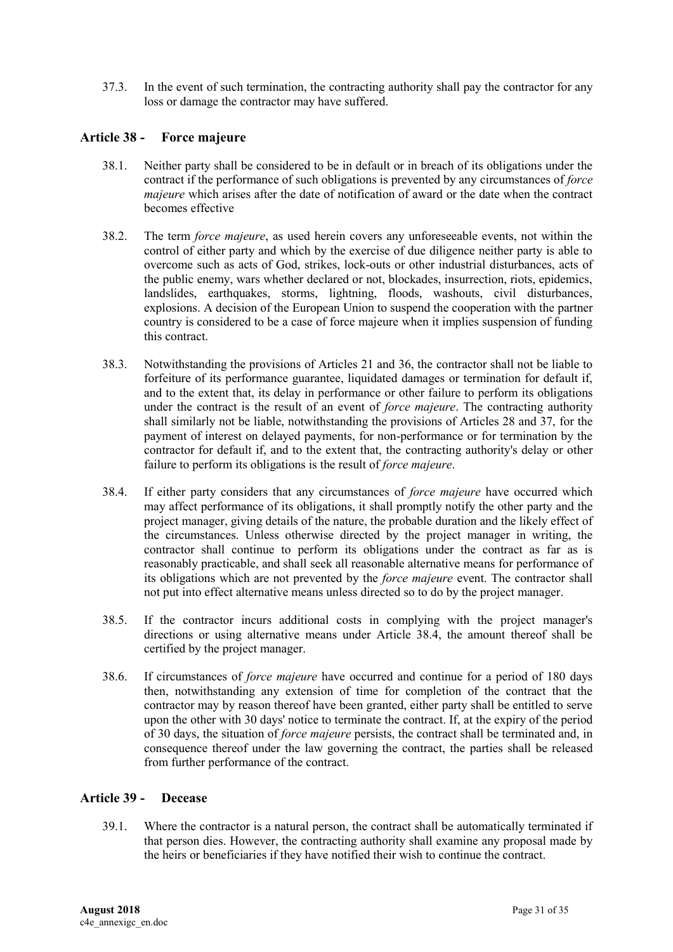37.3. In the event of such termination, the contracting authority shall pay the contractor for any loss or damage the contractor may have suffered.

### <span id="page-30-0"></span>**Article 38 - Force majeure**

- 38.1. Neither party shall be considered to be in default or in breach of its obligations under the contract if the performance of such obligations is prevented by any circumstances of *force majeure* which arises after the date of notification of award or the date when the contract becomes effective
- 38.2. The term *force majeure*, as used herein covers any unforeseeable events, not within the control of either party and which by the exercise of due diligence neither party is able to overcome such as acts of God, strikes, lock-outs or other industrial disturbances, acts of the public enemy, wars whether declared or not, blockades, insurrection, riots, epidemics, landslides, earthquakes, storms, lightning, floods, washouts, civil disturbances, explosions. A decision of the European Union to suspend the cooperation with the partner country is considered to be a case of force majeure when it implies suspension of funding this contract.
- 38.3. Notwithstanding the provisions of Articles 21 and 36, the contractor shall not be liable to forfeiture of its performance guarantee, liquidated damages or termination for default if, and to the extent that, its delay in performance or other failure to perform its obligations under the contract is the result of an event of *force majeure*. The contracting authority shall similarly not be liable, notwithstanding the provisions of Articles 28 and 37, for the payment of interest on delayed payments, for non-performance or for termination by the contractor for default if, and to the extent that, the contracting authority's delay or other failure to perform its obligations is the result of *force majeure*.
- 38.4. If either party considers that any circumstances of *force majeure* have occurred which may affect performance of its obligations, it shall promptly notify the other party and the project manager, giving details of the nature, the probable duration and the likely effect of the circumstances. Unless otherwise directed by the project manager in writing, the contractor shall continue to perform its obligations under the contract as far as is reasonably practicable, and shall seek all reasonable alternative means for performance of its obligations which are not prevented by the *force majeure* event. The contractor shall not put into effect alternative means unless directed so to do by the project manager.
- 38.5. If the contractor incurs additional costs in complying with the project manager's directions or using alternative means under Article 38.4, the amount thereof shall be certified by the project manager.
- 38.6. If circumstances of *force majeure* have occurred and continue for a period of 180 days then, notwithstanding any extension of time for completion of the contract that the contractor may by reason thereof have been granted, either party shall be entitled to serve upon the other with 30 days' notice to terminate the contract. If, at the expiry of the period of 30 days, the situation of *force majeure* persists, the contract shall be terminated and, in consequence thereof under the law governing the contract, the parties shall be released from further performance of the contract.

#### <span id="page-30-1"></span>**Article 39 - Decease**

39.1. Where the contractor is a natural person, the contract shall be automatically terminated if that person dies. However, the contracting authority shall examine any proposal made by the heirs or beneficiaries if they have notified their wish to continue the contract.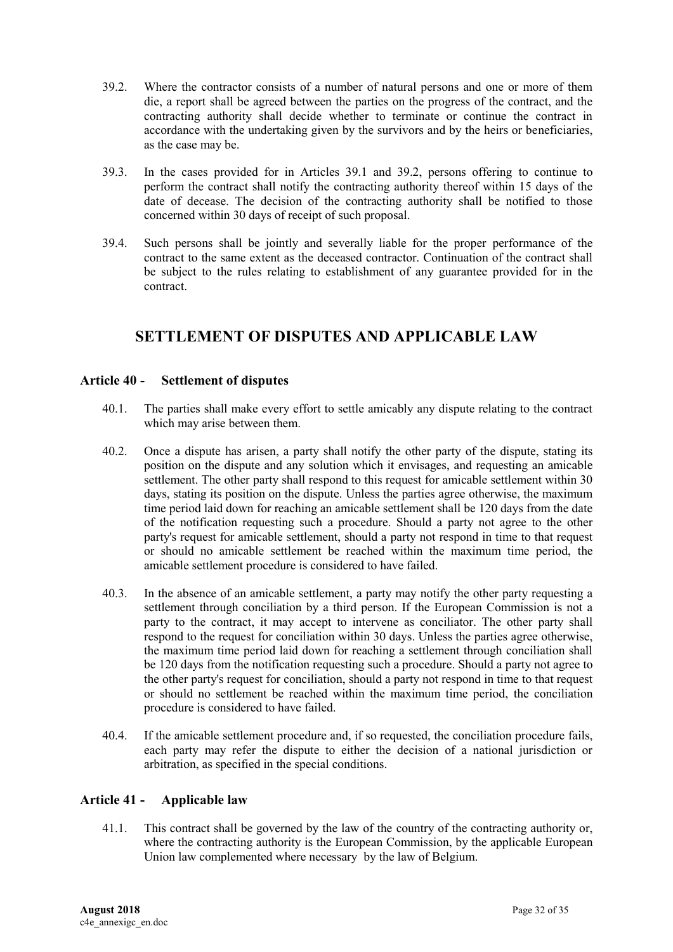- 39.2. Where the contractor consists of a number of natural persons and one or more of them die, a report shall be agreed between the parties on the progress of the contract, and the contracting authority shall decide whether to terminate or continue the contract in accordance with the undertaking given by the survivors and by the heirs or beneficiaries, as the case may be.
- 39.3. In the cases provided for in Articles 39.1 and 39.2, persons offering to continue to perform the contract shall notify the contracting authority thereof within 15 days of the date of decease. The decision of the contracting authority shall be notified to those concerned within 30 days of receipt of such proposal.
- 39.4. Such persons shall be jointly and severally liable for the proper performance of the contract to the same extent as the deceased contractor. Continuation of the contract shall be subject to the rules relating to establishment of any guarantee provided for in the contract.

# <span id="page-31-0"></span>**SETTLEMENT OF DISPUTES AND APPLICABLE LAW**

### <span id="page-31-1"></span>**Article 40 - Settlement of disputes**

- 40.1. The parties shall make every effort to settle amicably any dispute relating to the contract which may arise between them.
- 40.2. Once a dispute has arisen, a party shall notify the other party of the dispute, stating its position on the dispute and any solution which it envisages, and requesting an amicable settlement. The other party shall respond to this request for amicable settlement within 30 days, stating its position on the dispute. Unless the parties agree otherwise, the maximum time period laid down for reaching an amicable settlement shall be 120 days from the date of the notification requesting such a procedure. Should a party not agree to the other party's request for amicable settlement, should a party not respond in time to that request or should no amicable settlement be reached within the maximum time period, the amicable settlement procedure is considered to have failed.
- 40.3. In the absence of an amicable settlement, a party may notify the other party requesting a settlement through conciliation by a third person. If the European Commission is not a party to the contract, it may accept to intervene as conciliator. The other party shall respond to the request for conciliation within 30 days. Unless the parties agree otherwise, the maximum time period laid down for reaching a settlement through conciliation shall be 120 days from the notification requesting such a procedure. Should a party not agree to the other party's request for conciliation, should a party not respond in time to that request or should no settlement be reached within the maximum time period, the conciliation procedure is considered to have failed.
- 40.4. If the amicable settlement procedure and, if so requested, the conciliation procedure fails, each party may refer the dispute to either the decision of a national jurisdiction or arbitration, as specified in the special conditions.

### <span id="page-31-2"></span>**Article 41 - Applicable law**

41.1. This contract shall be governed by the law of the country of the contracting authority or, where the contracting authority is the European Commission, by the applicable European Union law complemented where necessary by the law of Belgium.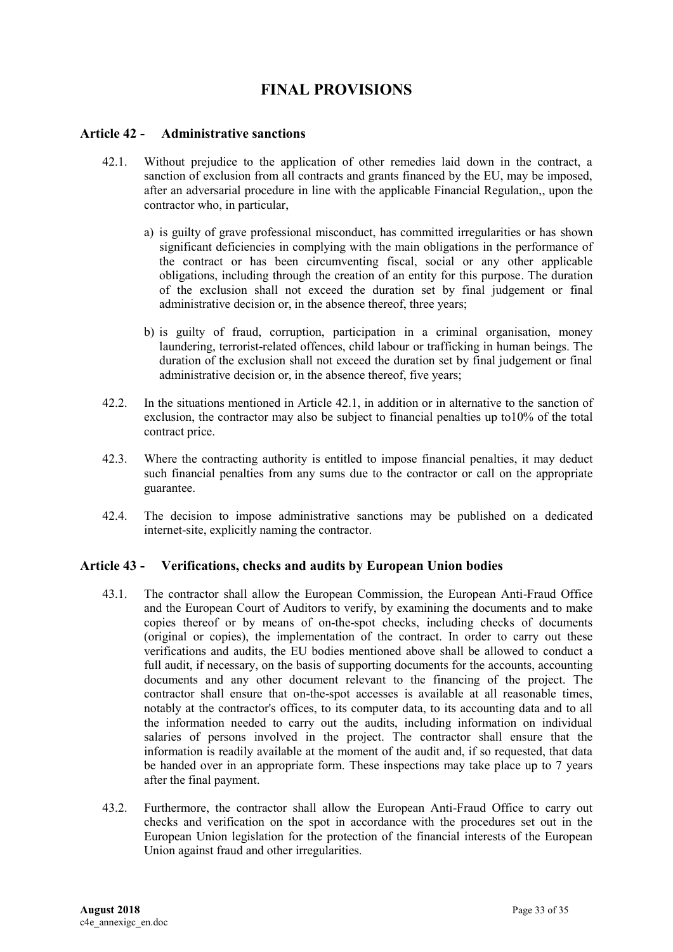## **FINAL PROVISIONS**

#### <span id="page-32-1"></span><span id="page-32-0"></span>**Article 42 - Administrative sanctions**

- 42.1. Without prejudice to the application of other remedies laid down in the contract, a sanction of exclusion from all contracts and grants financed by the EU, may be imposed, after an adversarial procedure in line with the applicable Financial Regulation,, upon the contractor who, in particular,
	- a) is guilty of grave professional misconduct, has committed irregularities or has shown significant deficiencies in complying with the main obligations in the performance of the contract or has been circumventing fiscal, social or any other applicable obligations, including through the creation of an entity for this purpose. The duration of the exclusion shall not exceed the duration set by final judgement or final administrative decision or, in the absence thereof, three years;
	- b) is guilty of fraud, corruption, participation in a criminal organisation, money laundering, terrorist-related offences, child labour or trafficking in human beings. The duration of the exclusion shall not exceed the duration set by final judgement or final administrative decision or, in the absence thereof, five years;
- 42.2. In the situations mentioned in Article 42.1, in addition or in alternative to the sanction of exclusion, the contractor may also be subject to financial penalties up to10% of the total contract price.
- 42.3. Where the contracting authority is entitled to impose financial penalties, it may deduct such financial penalties from any sums due to the contractor or call on the appropriate guarantee.
- 42.4. The decision to impose administrative sanctions may be published on a dedicated internet-site, explicitly naming the contractor.

#### <span id="page-32-2"></span>**Article 43 - Verifications, checks and audits by European Union bodies**

- 43.1. The contractor shall allow the European Commission, the European Anti-Fraud Office and the European Court of Auditors to verify, by examining the documents and to make copies thereof or by means of on-the-spot checks, including checks of documents (original or copies), the implementation of the contract. In order to carry out these verifications and audits, the EU bodies mentioned above shall be allowed to conduct a full audit, if necessary, on the basis of supporting documents for the accounts, accounting documents and any other document relevant to the financing of the project. The contractor shall ensure that on-the-spot accesses is available at all reasonable times, notably at the contractor's offices, to its computer data, to its accounting data and to all the information needed to carry out the audits, including information on individual salaries of persons involved in the project. The contractor shall ensure that the information is readily available at the moment of the audit and, if so requested, that data be handed over in an appropriate form. These inspections may take place up to 7 years after the final payment.
- 43.2. Furthermore, the contractor shall allow the European Anti-Fraud Office to carry out checks and verification on the spot in accordance with the procedures set out in the European Union legislation for the protection of the financial interests of the European Union against fraud and other irregularities.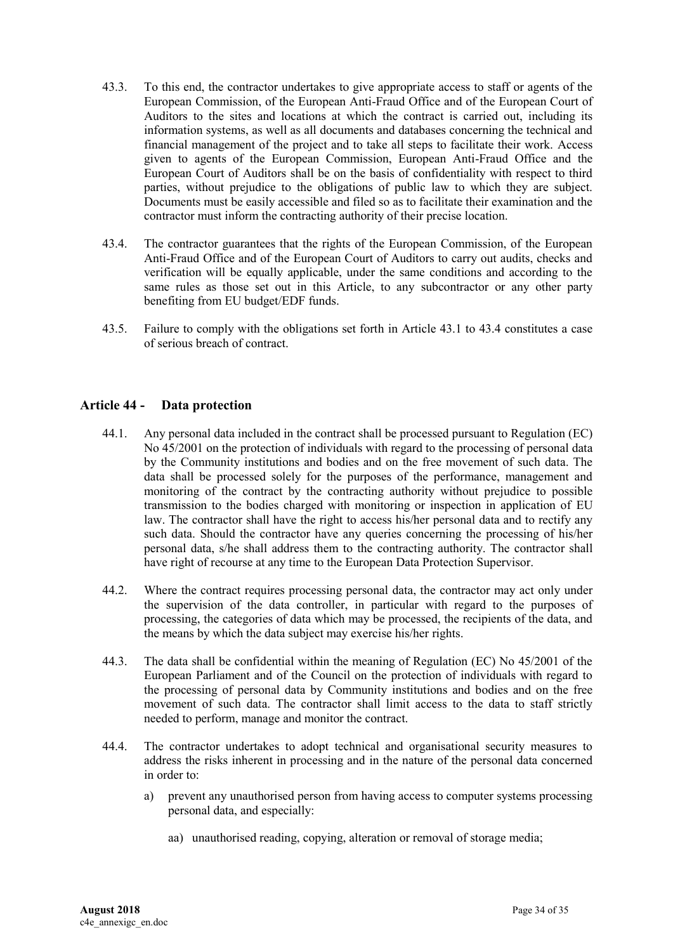- 43.3. To this end, the contractor undertakes to give appropriate access to staff or agents of the European Commission, of the European Anti-Fraud Office and of the European Court of Auditors to the sites and locations at which the contract is carried out, including its information systems, as well as all documents and databases concerning the technical and financial management of the project and to take all steps to facilitate their work. Access given to agents of the European Commission, European Anti-Fraud Office and the European Court of Auditors shall be on the basis of confidentiality with respect to third parties, without prejudice to the obligations of public law to which they are subject. Documents must be easily accessible and filed so as to facilitate their examination and the contractor must inform the contracting authority of their precise location.
- 43.4. The contractor guarantees that the rights of the European Commission, of the European Anti-Fraud Office and of the European Court of Auditors to carry out audits, checks and verification will be equally applicable, under the same conditions and according to the same rules as those set out in this Article, to any subcontractor or any other party benefiting from EU budget/EDF funds.
- 43.5. Failure to comply with the obligations set forth in Article 43.1 to 43.4 constitutes a case of serious breach of contract.

#### <span id="page-33-0"></span>**Article 44 - Data protection**

- 44.1. Any personal data included in the contract shall be processed pursuant to Regulation (EC) No 45/2001 on the protection of individuals with regard to the processing of personal data by the Community institutions and bodies and on the free movement of such data. The data shall be processed solely for the purposes of the performance, management and monitoring of the contract by the contracting authority without prejudice to possible transmission to the bodies charged with monitoring or inspection in application of EU law. The contractor shall have the right to access his/her personal data and to rectify any such data. Should the contractor have any queries concerning the processing of his/her personal data, s/he shall address them to the contracting authority. The contractor shall have right of recourse at any time to the European Data Protection Supervisor.
- 44.2. Where the contract requires processing personal data, the contractor may act only under the supervision of the data controller, in particular with regard to the purposes of processing, the categories of data which may be processed, the recipients of the data, and the means by which the data subject may exercise his/her rights.
- 44.3. The data shall be confidential within the meaning of Regulation (EC) No 45/2001 of the European Parliament and of the Council on the protection of individuals with regard to the processing of personal data by Community institutions and bodies and on the free movement of such data. The contractor shall limit access to the data to staff strictly needed to perform, manage and monitor the contract.
- 44.4. The contractor undertakes to adopt technical and organisational security measures to address the risks inherent in processing and in the nature of the personal data concerned in order to:
	- a) prevent any unauthorised person from having access to computer systems processing personal data, and especially:
		- aa) unauthorised reading, copying, alteration or removal of storage media;